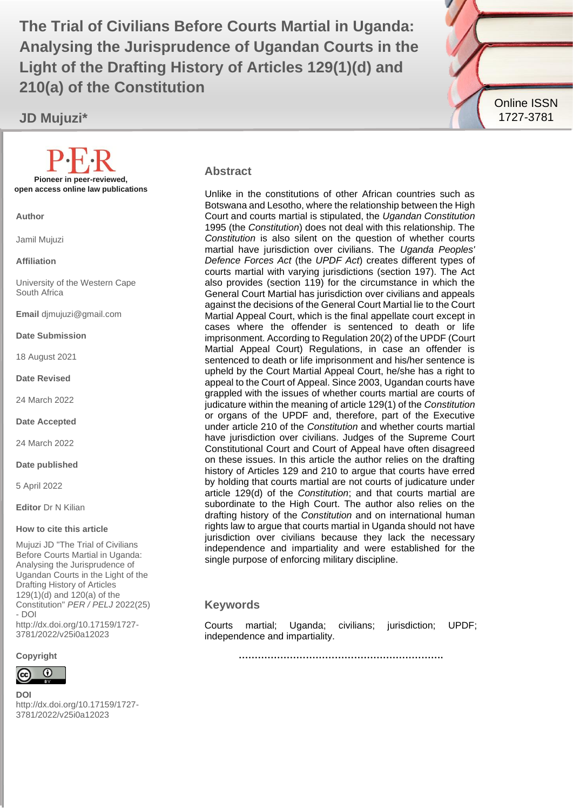Analysing the Jurisprudence of Ugandan Courts in the **The Trial of Civilians Before Courts Martial in Uganda: Light of the Drafting History of Articles 129(1)(d) and 210(a) of the Constitution**

**JD Mujuzi\***



#### **Abstract**

Unlike in the constitutions of other African countries such as Botswana and Lesotho, where the relationship between the High Court and courts martial is stipulated, the *Ugandan Constitution* 1995 (the *Constitution*) does not deal with this relationship. The *Constitution* is also silent on the question of whether courts martial have jurisdiction over civilians. The *Uganda Peoples' Defence Forces Act* (the *UPDF Act*) creates different types of courts martial with varying jurisdictions (section 197). The Act also provides (section 119) for the circumstance in which the General Court Martial has jurisdiction over civilians and appeals against the decisions of the General Court Martial lie to the Court Martial Appeal Court, which is the final appellate court except in cases where the offender is sentenced to death or life imprisonment. According to Regulation 20(2) of the UPDF (Court Martial Appeal Court) Regulations, in case an offender is sentenced to death or life imprisonment and his/her sentence is upheld by the Court Martial Appeal Court, he/she has a right to appeal to the Court of Appeal. Since 2003, Ugandan courts have grappled with the issues of whether courts martial are courts of judicature within the meaning of article 129(1) of the *Constitution* or organs of the UPDF and, therefore, part of the Executive under article 210 of the *Constitution* and whether courts martial have jurisdiction over civilians. Judges of the Supreme Court Constitutional Court and Court of Appeal have often disagreed on these issues. In this article the author relies on the drafting history of Articles 129 and 210 to argue that courts have erred by holding that courts martial are not courts of judicature under article 129(d) of the *Constitution*; and that courts martial are subordinate to the High Court. The author also relies on the drafting history of the *Constitution* and on international human rights law to argue that courts martial in Uganda should not have jurisdiction over civilians because they lack the necessary independence and impartiality and were established for the single purpose of enforcing military discipline.

#### **Keywords**

Courts martial; Uganda; civilians; jurisdiction; UPDF; independence and impartiality.

**……………………………………………………….**

**Pioneer in peer-reviewed, open access online law publications**

**Author**

Jamil Mujuzi

**Affiliation**

University of the Western Cape South Africa

**Email** djmujuzi@gmail.com

**Date Submission**

18 August 2021

**Date Revised**

24 March 2022

**Date Accepted**

24 March 2022

**Date published**

5 April 2022

**Editor** Dr N Kilian

#### **How to cite this article**

Mujuzi JD "The Trial of Civilians Before Courts Martial in Uganda: Analysing the Jurisprudence of Ugandan Courts in the Light of the Drafting History of Articles 129(1)(d) and 120(a) of the Constitution" *PER / PELJ* 2022(25) - DOI http://dx.doi.org/10.17159/1727- 3781/2022/v25i0a12023

**Copyright**



**DOI**  http://dx.doi.org/10.17159/1727- 3781/2022/v25i0a12023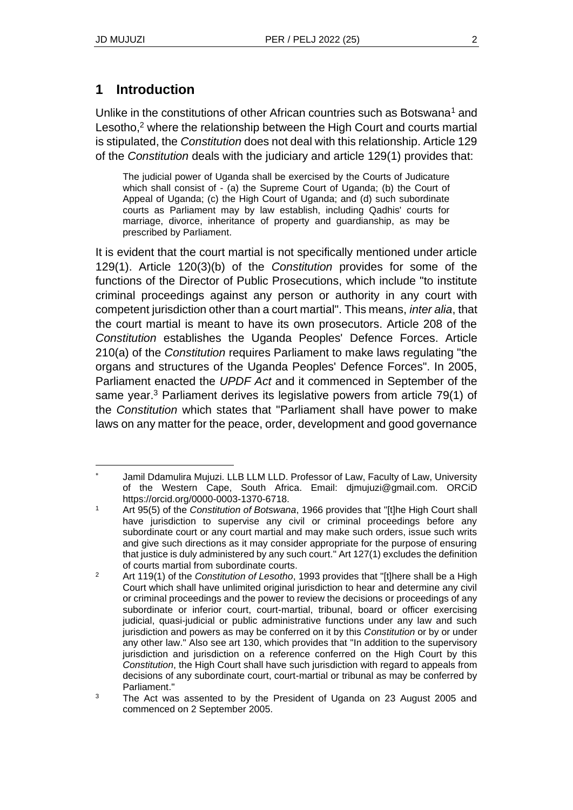## **1 Introduction**

Unlike in the constitutions of other African countries such as Botswana<sup>1</sup> and Lesotho,<sup>2</sup> where the relationship between the High Court and courts martial is stipulated, the *Constitution* does not deal with this relationship. Article 129 of the *Constitution* deals with the judiciary and article 129(1) provides that:

The judicial power of Uganda shall be exercised by the Courts of Judicature which shall consist of - (a) the Supreme Court of Uganda; (b) the Court of Appeal of Uganda; (c) the High Court of Uganda; and (d) such subordinate courts as Parliament may by law establish, including Qadhis' courts for marriage, divorce, inheritance of property and guardianship, as may be prescribed by Parliament.

It is evident that the court martial is not specifically mentioned under article 129(1). Article 120(3)(b) of the *Constitution* provides for some of the functions of the Director of Public Prosecutions, which include "to institute criminal proceedings against any person or authority in any court with competent jurisdiction other than a court martial". This means, *inter alia*, that the court martial is meant to have its own prosecutors. Article 208 of the *Constitution* establishes the Uganda Peoples' Defence Forces. Article 210(a) of the *Constitution* requires Parliament to make laws regulating "the organs and structures of the Uganda Peoples' Defence Forces". In 2005, Parliament enacted the *UPDF Act* and it commenced in September of the same year.<sup>3</sup> Parliament derives its legislative powers from article 79(1) of the *Constitution* which states that "Parliament shall have power to make laws on any matter for the peace, order, development and good governance

Jamil Ddamulira Mujuzi. LLB LLM LLD. Professor of Law, Faculty of Law, University of the Western Cape, South Africa. Email: djmujuzi@gmail.com. ORCiD https://orcid.org/0000-0003-1370-6718.

<sup>1</sup> Art 95(5) of the *Constitution of Botswana*, 1966 provides that "[t]he High Court shall have jurisdiction to supervise any civil or criminal proceedings before any subordinate court or any court martial and may make such orders, issue such writs and give such directions as it may consider appropriate for the purpose of ensuring that justice is duly administered by any such court." Art 127(1) excludes the definition of courts martial from subordinate courts.

<sup>2</sup> Art 119(1) of the *Constitution of Lesotho*, 1993 provides that "[t]here shall be a High Court which shall have unlimited original jurisdiction to hear and determine any civil or criminal proceedings and the power to review the decisions or proceedings of any subordinate or inferior court, court-martial, tribunal, board or officer exercising judicial, quasi-judicial or public administrative functions under any law and such jurisdiction and powers as may be conferred on it by this *Constitution* or by or under any other law." Also see art 130, which provides that "In addition to the supervisory jurisdiction and jurisdiction on a reference conferred on the High Court by this *Constitution*, the High Court shall have such jurisdiction with regard to appeals from decisions of any subordinate court, court-martial or tribunal as may be conferred by Parliament."

<sup>&</sup>lt;sup>3</sup> The Act was assented to by the President of Uganda on 23 August 2005 and commenced on 2 September 2005.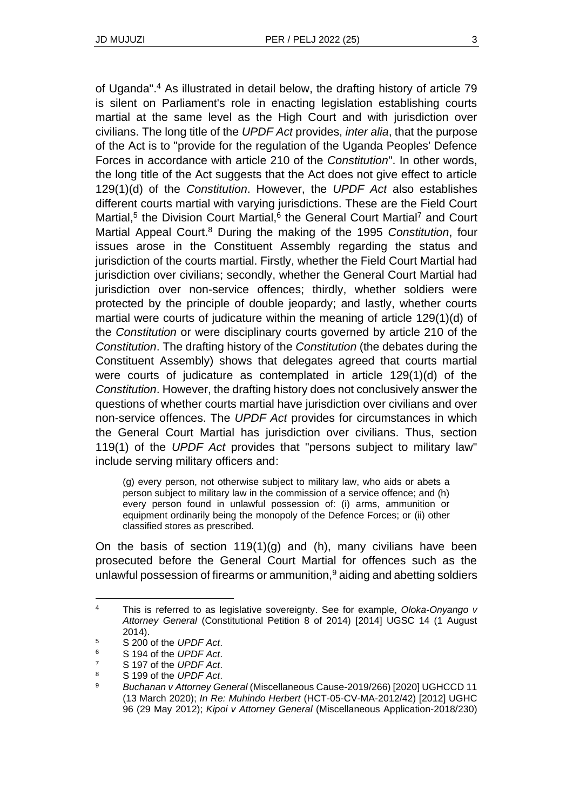of Uganda".<sup>4</sup> As illustrated in detail below, the drafting history of article 79 is silent on Parliament's role in enacting legislation establishing courts martial at the same level as the High Court and with jurisdiction over civilians. The long title of the *UPDF Act* provides, *inter alia*, that the purpose of the Act is to "provide for the regulation of the Uganda Peoples' Defence Forces in accordance with article 210 of the *Constitution*". In other words, the long title of the Act suggests that the Act does not give effect to article 129(1)(d) of the *Constitution*. However, the *UPDF Act* also establishes different courts martial with varying jurisdictions. These are the Field Court Martial,<sup>5</sup> the Division Court Martial,<sup>6</sup> the General Court Martial<sup>7</sup> and Court Martial Appeal Court.<sup>8</sup> During the making of the 1995 *Constitution*, four issues arose in the Constituent Assembly regarding the status and jurisdiction of the courts martial. Firstly, whether the Field Court Martial had jurisdiction over civilians; secondly, whether the General Court Martial had jurisdiction over non-service offences; thirdly, whether soldiers were protected by the principle of double jeopardy; and lastly, whether courts martial were courts of judicature within the meaning of article 129(1)(d) of the *Constitution* or were disciplinary courts governed by article 210 of the *Constitution*. The drafting history of the *Constitution* (the debates during the Constituent Assembly) shows that delegates agreed that courts martial were courts of judicature as contemplated in article 129(1)(d) of the *Constitution*. However, the drafting history does not conclusively answer the questions of whether courts martial have jurisdiction over civilians and over non-service offences. The *UPDF Act* provides for circumstances in which the General Court Martial has jurisdiction over civilians. Thus, section 119(1) of the *UPDF Act* provides that "persons subject to military law" include serving military officers and:

(g) every person, not otherwise subject to military law, who aids or abets a person subject to military law in the commission of a service offence; and (h) every person found in unlawful possession of: (i) arms, ammunition or equipment ordinarily being the monopoly of the Defence Forces; or (ii) other classified stores as prescribed.

On the basis of section  $119(1)(g)$  and (h), many civilians have been prosecuted before the General Court Martial for offences such as the unlawful possession of firearms or ammunition, $9$  aiding and abetting soldiers

<sup>4</sup> This is referred to as legislative sovereignty. See for example, *Oloka-Onyango v Attorney General* (Constitutional Petition 8 of 2014) [2014] UGSC 14 (1 August 2014).

<sup>5</sup> S 200 of the *UPDF Act*.

<sup>6</sup> S 194 of the *UPDF Act*.

<sup>7</sup> S 197 of the *UPDF Act*.

<sup>8</sup> S 199 of the *UPDF Act*.

<sup>9</sup> *Buchanan v Attorney General* (Miscellaneous Cause-2019/266) [2020] UGHCCD 11 (13 March 2020); *In Re: Muhindo Herbert* (HCT-05-CV-MA-2012/42) [2012] UGHC 96 (29 May 2012); *Kipoi v Attorney General* (Miscellaneous Application-2018/230)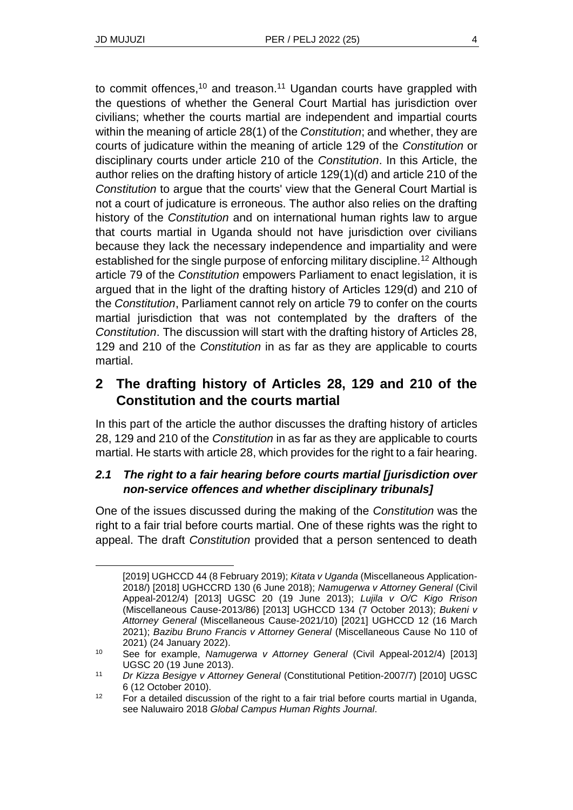to commit offences,<sup>10</sup> and treason.<sup>11</sup> Ugandan courts have grappled with the questions of whether the General Court Martial has jurisdiction over civilians; whether the courts martial are independent and impartial courts within the meaning of article 28(1) of the *Constitution*; and whether, they are courts of judicature within the meaning of article 129 of the *Constitution* or disciplinary courts under article 210 of the *Constitution*. In this Article, the author relies on the drafting history of article 129(1)(d) and article 210 of the *Constitution* to argue that the courts' view that the General Court Martial is not a court of judicature is erroneous. The author also relies on the drafting history of the *Constitution* and on international human rights law to argue that courts martial in Uganda should not have jurisdiction over civilians because they lack the necessary independence and impartiality and were established for the single purpose of enforcing military discipline.<sup>12</sup> Although article 79 of the *Constitution* empowers Parliament to enact legislation, it is argued that in the light of the drafting history of Articles 129(d) and 210 of the *Constitution*, Parliament cannot rely on article 79 to confer on the courts martial jurisdiction that was not contemplated by the drafters of the *Constitution*. The discussion will start with the drafting history of Articles 28, 129 and 210 of the *Constitution* in as far as they are applicable to courts martial.

# **2 The drafting history of Articles 28, 129 and 210 of the Constitution and the courts martial**

In this part of the article the author discusses the drafting history of articles 28, 129 and 210 of the *Constitution* in as far as they are applicable to courts martial. He starts with article 28, which provides for the right to a fair hearing.

## *2.1 The right to a fair hearing before courts martial [jurisdiction over non-service offences and whether disciplinary tribunals]*

One of the issues discussed during the making of the *Constitution* was the right to a fair trial before courts martial. One of these rights was the right to appeal. The draft *Constitution* provided that a person sentenced to death

<sup>[2019]</sup> UGHCCD 44 (8 February 2019); *Kitata v Uganda* (Miscellaneous Application-2018/) [2018] UGHCCRD 130 (6 June 2018); *Namugerwa v Attorney General* (Civil Appeal-2012/4) [2013] UGSC 20 (19 June 2013); *Lujila v O/C Kigo Rrison*  (Miscellaneous Cause-2013/86) [2013] UGHCCD 134 (7 October 2013); *Bukeni v Attorney General* (Miscellaneous Cause-2021/10) [2021] UGHCCD 12 (16 March 2021); *Bazibu Bruno Francis v Attorney General* (Miscellaneous Cause No 110 of 2021) (24 January 2022).

<sup>10</sup> See for example, *Namugerwa v Attorney General* (Civil Appeal-2012/4) [2013] UGSC 20 (19 June 2013).

<sup>11</sup> *Dr Kizza Besigye v Attorney General* (Constitutional Petition-2007/7) [2010] UGSC 6 (12 October 2010).

<sup>&</sup>lt;sup>12</sup> For a detailed discussion of the right to a fair trial before courts martial in Uganda, see Naluwairo 2018 *Global Campus Human Rights Journal*.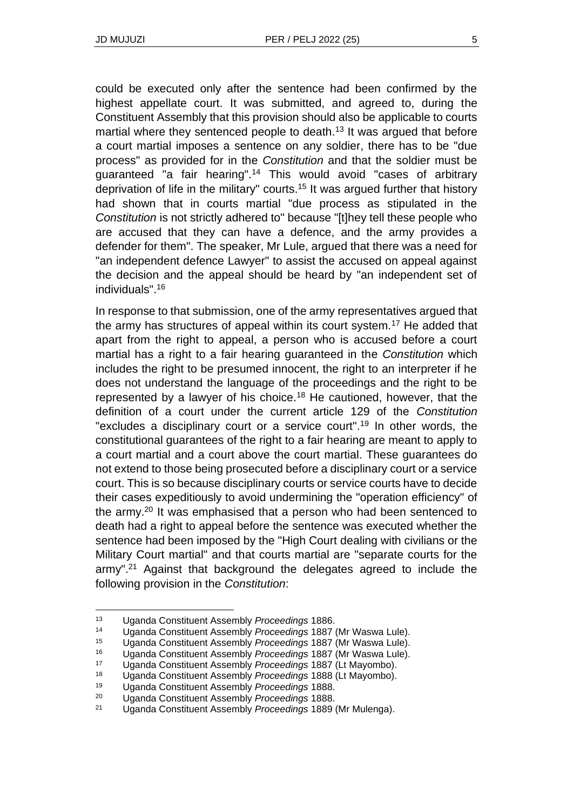could be executed only after the sentence had been confirmed by the highest appellate court. It was submitted, and agreed to, during the Constituent Assembly that this provision should also be applicable to courts martial where they sentenced people to death.<sup>13</sup> It was argued that before a court martial imposes a sentence on any soldier, there has to be "due process" as provided for in the *Constitution* and that the soldier must be guaranteed "a fair hearing".<sup>14</sup> This would avoid "cases of arbitrary deprivation of life in the military" courts.<sup>15</sup> It was argued further that history had shown that in courts martial "due process as stipulated in the *Constitution* is not strictly adhered to" because "[t]hey tell these people who are accused that they can have a defence, and the army provides a defender for them". The speaker, Mr Lule, argued that there was a need for "an independent defence Lawyer" to assist the accused on appeal against the decision and the appeal should be heard by "an independent set of individuals".<sup>16</sup>

In response to that submission, one of the army representatives argued that the army has structures of appeal within its court system.<sup>17</sup> He added that apart from the right to appeal, a person who is accused before a court martial has a right to a fair hearing guaranteed in the *Constitution* which includes the right to be presumed innocent, the right to an interpreter if he does not understand the language of the proceedings and the right to be represented by a lawyer of his choice.<sup>18</sup> He cautioned, however, that the definition of a court under the current article 129 of the *Constitution* "excludes a disciplinary court or a service court".<sup>19</sup> In other words, the constitutional guarantees of the right to a fair hearing are meant to apply to a court martial and a court above the court martial. These guarantees do not extend to those being prosecuted before a disciplinary court or a service court. This is so because disciplinary courts or service courts have to decide their cases expeditiously to avoid undermining the "operation efficiency" of the army.<sup>20</sup> It was emphasised that a person who had been sentenced to death had a right to appeal before the sentence was executed whether the sentence had been imposed by the "High Court dealing with civilians or the Military Court martial" and that courts martial are "separate courts for the army".<sup>21</sup> Against that background the delegates agreed to include the following provision in the *Constitution*:

<sup>13</sup> Uganda Constituent Assembly *Proceedings* 1886.

<sup>14</sup> Uganda Constituent Assembly *Proceedings* 1887 (Mr Waswa Lule).

<sup>15</sup> Uganda Constituent Assembly *Proceedings* 1887 (Mr Waswa Lule).

<sup>16</sup> Uganda Constituent Assembly *Proceedings* 1887 (Mr Waswa Lule).

<sup>17</sup> Uganda Constituent Assembly *Proceedings* 1887 (Lt Mayombo).

<sup>18</sup> Uganda Constituent Assembly *Proceedings* 1888 (Lt Mayombo).

<sup>19</sup> Uganda Constituent Assembly *Proceedings* 1888.

<sup>20</sup> Uganda Constituent Assembly *Proceedings* 1888.

<sup>21</sup> Uganda Constituent Assembly *Proceedings* 1889 (Mr Mulenga).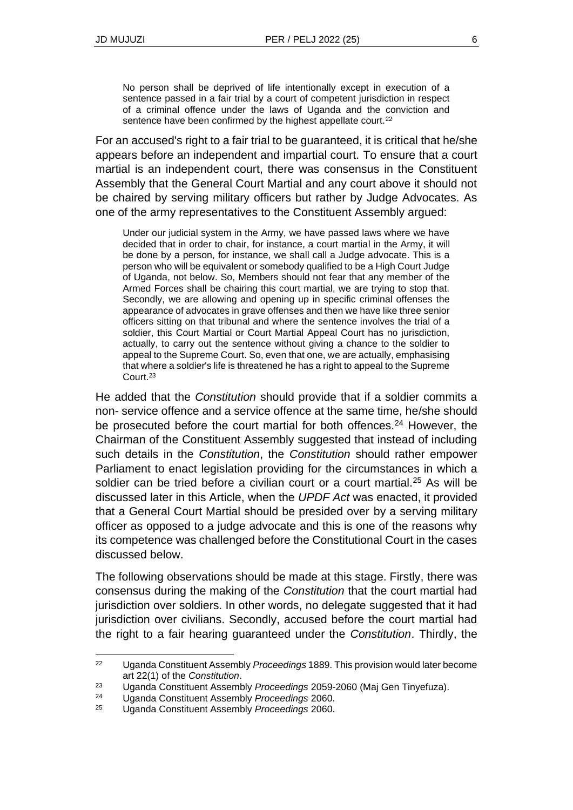No person shall be deprived of life intentionally except in execution of a sentence passed in a fair trial by a court of competent jurisdiction in respect of a criminal offence under the laws of Uganda and the conviction and sentence have been confirmed by the highest appellate court.<sup>22</sup>

For an accused's right to a fair trial to be guaranteed, it is critical that he/she appears before an independent and impartial court. To ensure that a court martial is an independent court, there was consensus in the Constituent Assembly that the General Court Martial and any court above it should not be chaired by serving military officers but rather by Judge Advocates. As one of the army representatives to the Constituent Assembly argued:

Under our judicial system in the Army, we have passed laws where we have decided that in order to chair, for instance, a court martial in the Army, it will be done by a person, for instance, we shall call a Judge advocate. This is a person who will be equivalent or somebody qualified to be a High Court Judge of Uganda, not below. So, Members should not fear that any member of the Armed Forces shall be chairing this court martial, we are trying to stop that. Secondly, we are allowing and opening up in specific criminal offenses the appearance of advocates in grave offenses and then we have like three senior officers sitting on that tribunal and where the sentence involves the trial of a soldier, this Court Martial or Court Martial Appeal Court has no jurisdiction, actually, to carry out the sentence without giving a chance to the soldier to appeal to the Supreme Court. So, even that one, we are actually, emphasising that where a soldier's life is threatened he has a right to appeal to the Supreme Court.<sup>23</sup>

He added that the *Constitution* should provide that if a soldier commits a non- service offence and a service offence at the same time, he/she should be prosecuted before the court martial for both offences.<sup>24</sup> However, the Chairman of the Constituent Assembly suggested that instead of including such details in the *Constitution*, the *Constitution* should rather empower Parliament to enact legislation providing for the circumstances in which a soldier can be tried before a civilian court or a court martial.<sup>25</sup> As will be discussed later in this Article, when the *UPDF Act* was enacted, it provided that a General Court Martial should be presided over by a serving military officer as opposed to a judge advocate and this is one of the reasons why its competence was challenged before the Constitutional Court in the cases discussed below.

The following observations should be made at this stage. Firstly, there was consensus during the making of the *Constitution* that the court martial had jurisdiction over soldiers. In other words, no delegate suggested that it had jurisdiction over civilians. Secondly, accused before the court martial had the right to a fair hearing guaranteed under the *Constitution*. Thirdly, the

<sup>22</sup> Uganda Constituent Assembly *Proceedings* 1889. This provision would later become art 22(1) of the *Constitution*.

<sup>23</sup> Uganda Constituent Assembly *Proceedings* 2059-2060 (Maj Gen Tinyefuza).

<sup>24</sup> Uganda Constituent Assembly *Proceedings* 2060.

<sup>25</sup> Uganda Constituent Assembly *Proceedings* 2060.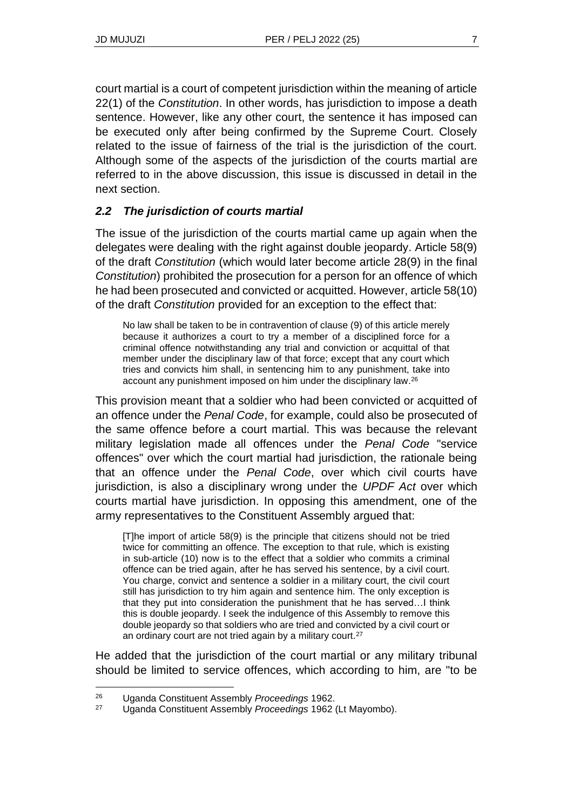court martial is a court of competent jurisdiction within the meaning of article 22(1) of the *Constitution*. In other words, has jurisdiction to impose a death sentence. However, like any other court, the sentence it has imposed can be executed only after being confirmed by the Supreme Court. Closely related to the issue of fairness of the trial is the jurisdiction of the court. Although some of the aspects of the jurisdiction of the courts martial are referred to in the above discussion, this issue is discussed in detail in the next section.

## *2.2 The jurisdiction of courts martial*

The issue of the jurisdiction of the courts martial came up again when the delegates were dealing with the right against double jeopardy. Article 58(9) of the draft *Constitution* (which would later become article 28(9) in the final *Constitution*) prohibited the prosecution for a person for an offence of which he had been prosecuted and convicted or acquitted. However, article 58(10) of the draft *Constitution* provided for an exception to the effect that:

No law shall be taken to be in contravention of clause (9) of this article merely because it authorizes a court to try a member of a disciplined force for a criminal offence notwithstanding any trial and conviction or acquittal of that member under the disciplinary law of that force; except that any court which tries and convicts him shall, in sentencing him to any punishment, take into account any punishment imposed on him under the disciplinary law.<sup>26</sup>

This provision meant that a soldier who had been convicted or acquitted of an offence under the *Penal Code*, for example, could also be prosecuted of the same offence before a court martial. This was because the relevant military legislation made all offences under the *Penal Code* "service offences" over which the court martial had jurisdiction, the rationale being that an offence under the *Penal Code*, over which civil courts have jurisdiction, is also a disciplinary wrong under the *UPDF Act* over which courts martial have jurisdiction. In opposing this amendment, one of the army representatives to the Constituent Assembly argued that:

[T]he import of article 58(9) is the principle that citizens should not be tried twice for committing an offence. The exception to that rule, which is existing in sub-article (10) now is to the effect that a soldier who commits a criminal offence can be tried again, after he has served his sentence, by a civil court. You charge, convict and sentence a soldier in a military court, the civil court still has jurisdiction to try him again and sentence him. The only exception is that they put into consideration the punishment that he has served…I think this is double jeopardy. I seek the indulgence of this Assembly to remove this double jeopardy so that soldiers who are tried and convicted by a civil court or an ordinary court are not tried again by a military court.<sup>27</sup>

He added that the jurisdiction of the court martial or any military tribunal should be limited to service offences, which according to him, are "to be

<sup>26</sup> Uganda Constituent Assembly *Proceedings* 1962.

<sup>27</sup> Uganda Constituent Assembly *Proceedings* 1962 (Lt Mayombo).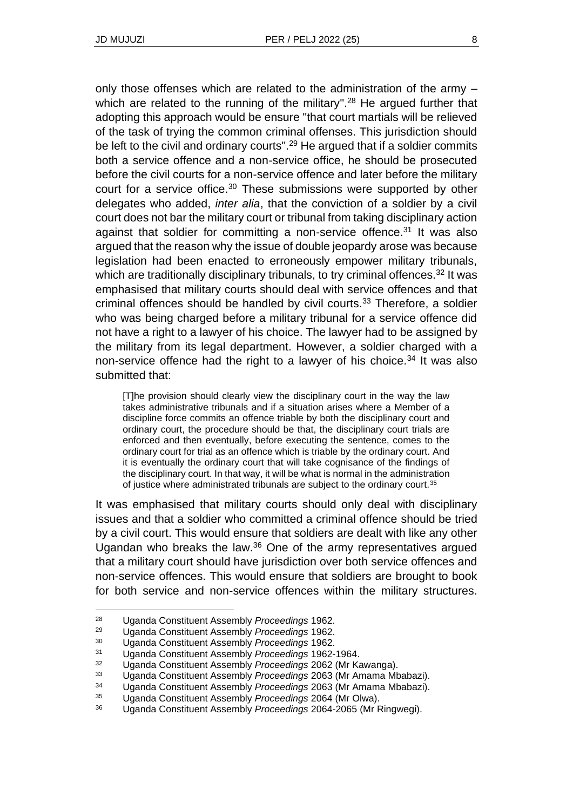only those offenses which are related to the administration of the army – which are related to the running of the military".<sup>28</sup> He argued further that adopting this approach would be ensure "that court martials will be relieved of the task of trying the common criminal offenses. This jurisdiction should be left to the civil and ordinary courts".<sup>29</sup> He argued that if a soldier commits both a service offence and a non-service office, he should be prosecuted before the civil courts for a non-service offence and later before the military court for a service office.<sup>30</sup> These submissions were supported by other delegates who added, *inter alia*, that the conviction of a soldier by a civil court does not bar the military court or tribunal from taking disciplinary action against that soldier for committing a non-service offence.<sup>31</sup> It was also argued that the reason why the issue of double jeopardy arose was because legislation had been enacted to erroneously empower military tribunals, which are traditionally disciplinary tribunals, to try criminal offences.<sup>32</sup> It was emphasised that military courts should deal with service offences and that criminal offences should be handled by civil courts.<sup>33</sup> Therefore, a soldier who was being charged before a military tribunal for a service offence did not have a right to a lawyer of his choice. The lawyer had to be assigned by the military from its legal department. However, a soldier charged with a non-service offence had the right to a lawyer of his choice. $34$  It was also submitted that:

[T]he provision should clearly view the disciplinary court in the way the law takes administrative tribunals and if a situation arises where a Member of a discipline force commits an offence triable by both the disciplinary court and ordinary court, the procedure should be that, the disciplinary court trials are enforced and then eventually, before executing the sentence, comes to the ordinary court for trial as an offence which is triable by the ordinary court. And it is eventually the ordinary court that will take cognisance of the findings of the disciplinary court. In that way, it will be what is normal in the administration of justice where administrated tribunals are subject to the ordinary court.<sup>35</sup>

It was emphasised that military courts should only deal with disciplinary issues and that a soldier who committed a criminal offence should be tried by a civil court. This would ensure that soldiers are dealt with like any other Ugandan who breaks the law.<sup>36</sup> One of the army representatives argued that a military court should have jurisdiction over both service offences and non-service offences. This would ensure that soldiers are brought to book for both service and non-service offences within the military structures.

<sup>28</sup> Uganda Constituent Assembly *Proceedings* 1962.

<sup>29</sup> Uganda Constituent Assembly *Proceedings* 1962.

<sup>30</sup> Uganda Constituent Assembly *Proceedings* 1962.

<sup>31</sup> Uganda Constituent Assembly *Proceedings* 1962-1964.

<sup>32</sup> Uganda Constituent Assembly *Proceedings* 2062 (Mr Kawanga).

<sup>33</sup> Uganda Constituent Assembly *Proceedings* 2063 (Mr Amama Mbabazi).

<sup>34</sup> Uganda Constituent Assembly *Proceedings* 2063 (Mr Amama Mbabazi).

<sup>35</sup> Uganda Constituent Assembly *Proceedings* 2064 (Mr Olwa).

<sup>36</sup> Uganda Constituent Assembly *Proceedings* 2064-2065 (Mr Ringwegi).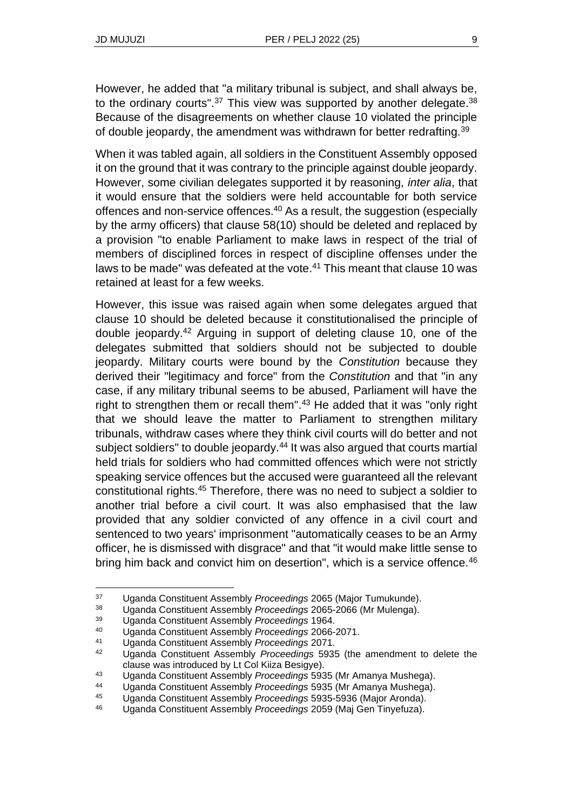However, he added that "a military tribunal is subject, and shall always be, to the ordinary courts". $37$  This view was supported by another delegate. $38$ Because of the disagreements on whether clause 10 violated the principle of double jeopardy, the amendment was withdrawn for better redrafting.<sup>39</sup>

When it was tabled again, all soldiers in the Constituent Assembly opposed it on the ground that it was contrary to the principle against double jeopardy. However, some civilian delegates supported it by reasoning, *inter alia*, that it would ensure that the soldiers were held accountable for both service offences and non-service offences.<sup>40</sup> As a result, the suggestion (especially by the army officers) that clause 58(10) should be deleted and replaced by a provision "to enable Parliament to make laws in respect of the trial of members of disciplined forces in respect of discipline offenses under the laws to be made" was defeated at the vote.<sup>41</sup> This meant that clause 10 was retained at least for a few weeks.

However, this issue was raised again when some delegates argued that clause 10 should be deleted because it constitutionalised the principle of double jeopardy.<sup>42</sup> Arguing in support of deleting clause 10, one of the delegates submitted that soldiers should not be subjected to double jeopardy. Military courts were bound by the *Constitution* because they derived their "legitimacy and force" from the *Constitution* and that "in any case, if any military tribunal seems to be abused, Parliament will have the right to strengthen them or recall them".<sup>43</sup> He added that it was "only right that we should leave the matter to Parliament to strengthen military tribunals, withdraw cases where they think civil courts will do better and not subject soldiers" to double jeopardy.<sup>44</sup> It was also argued that courts martial held trials for soldiers who had committed offences which were not strictly speaking service offences but the accused were guaranteed all the relevant constitutional rights.<sup>45</sup> Therefore, there was no need to subject a soldier to another trial before a civil court. It was also emphasised that the law provided that any soldier convicted of any offence in a civil court and sentenced to two years' imprisonment "automatically ceases to be an Army officer, he is dismissed with disgrace" and that "it would make little sense to bring him back and convict him on desertion", which is a service offence.<sup>46</sup>

<sup>37</sup> Uganda Constituent Assembly *Proceedings* 2065 (Major Tumukunde).

<sup>38</sup> Uganda Constituent Assembly *Proceedings* 2065-2066 (Mr Mulenga).

<sup>39</sup> Uganda Constituent Assembly *Proceedings* 1964.

<sup>40</sup> Uganda Constituent Assembly *Proceedings* 2066-2071.

<sup>41</sup> Uganda Constituent Assembly *Proceedings* 2071.

<sup>42</sup> Uganda Constituent Assembly *Proceedings* 5935 (the amendment to delete the clause was introduced by Lt Col Kiiza Besigye).

<sup>43</sup> Uganda Constituent Assembly *Proceedings* 5935 (Mr Amanya Mushega).

<sup>44</sup> Uganda Constituent Assembly *Proceedings* 5935 (Mr Amanya Mushega).

<sup>45</sup> Uganda Constituent Assembly *Proceedings* 5935-5936 (Major Aronda).

<sup>46</sup> Uganda Constituent Assembly *Proceedings* 2059 (Maj Gen Tinyefuza).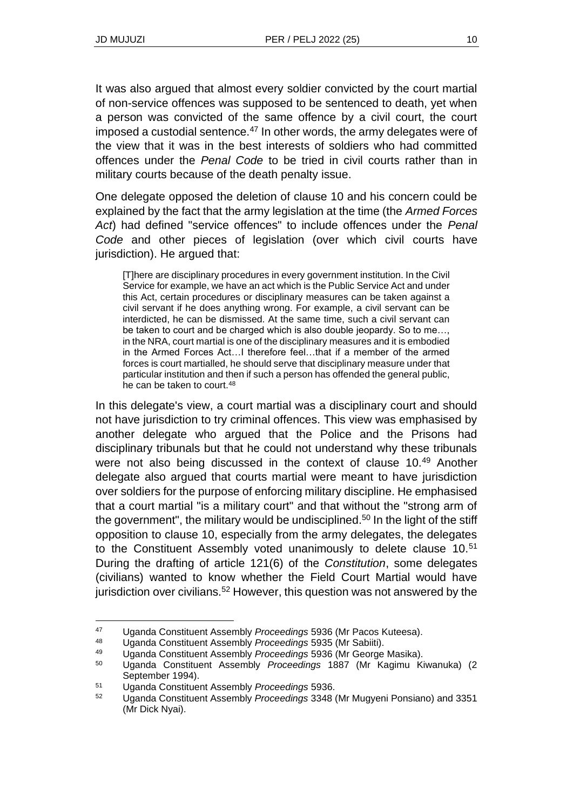It was also argued that almost every soldier convicted by the court martial of non-service offences was supposed to be sentenced to death, yet when a person was convicted of the same offence by a civil court, the court imposed a custodial sentence.<sup>47</sup> In other words, the army delegates were of the view that it was in the best interests of soldiers who had committed offences under the *Penal Code* to be tried in civil courts rather than in military courts because of the death penalty issue.

One delegate opposed the deletion of clause 10 and his concern could be explained by the fact that the army legislation at the time (the *Armed Forces Act*) had defined "service offences" to include offences under the *Penal Code* and other pieces of legislation (over which civil courts have jurisdiction). He argued that:

[T]here are disciplinary procedures in every government institution. In the Civil Service for example, we have an act which is the Public Service Act and under this Act, certain procedures or disciplinary measures can be taken against a civil servant if he does anything wrong. For example, a civil servant can be interdicted, he can be dismissed. At the same time, such a civil servant can be taken to court and be charged which is also double jeopardy. So to me…, in the NRA, court martial is one of the disciplinary measures and it is embodied in the Armed Forces Act…I therefore feel…that if a member of the armed forces is court martialled, he should serve that disciplinary measure under that particular institution and then if such a person has offended the general public, he can be taken to court.<sup>48</sup>

In this delegate's view, a court martial was a disciplinary court and should not have jurisdiction to try criminal offences. This view was emphasised by another delegate who argued that the Police and the Prisons had disciplinary tribunals but that he could not understand why these tribunals were not also being discussed in the context of clause 10.49 Another delegate also argued that courts martial were meant to have jurisdiction over soldiers for the purpose of enforcing military discipline. He emphasised that a court martial "is a military court" and that without the "strong arm of the government", the military would be undisciplined.<sup>50</sup> In the light of the stiff opposition to clause 10, especially from the army delegates, the delegates to the Constituent Assembly voted unanimously to delete clause 10.<sup>51</sup> During the drafting of article 121(6) of the *Constitution*, some delegates (civilians) wanted to know whether the Field Court Martial would have jurisdiction over civilians.<sup>52</sup> However, this question was not answered by the

<sup>47</sup> Uganda Constituent Assembly *Proceedings* 5936 (Mr Pacos Kuteesa).

<sup>48</sup> Uganda Constituent Assembly *Proceedings* 5935 (Mr Sabiiti).

<sup>49</sup> Uganda Constituent Assembly *Proceedings* 5936 (Mr George Masika).

<sup>50</sup> Uganda Constituent Assembly *Proceedings* 1887 (Mr Kagimu Kiwanuka) (2 September 1994).

<sup>51</sup> Uganda Constituent Assembly *Proceedings* 5936.

<sup>52</sup> Uganda Constituent Assembly *Proceedings* 3348 (Mr Mugyeni Ponsiano) and 3351 (Mr Dick Nyai).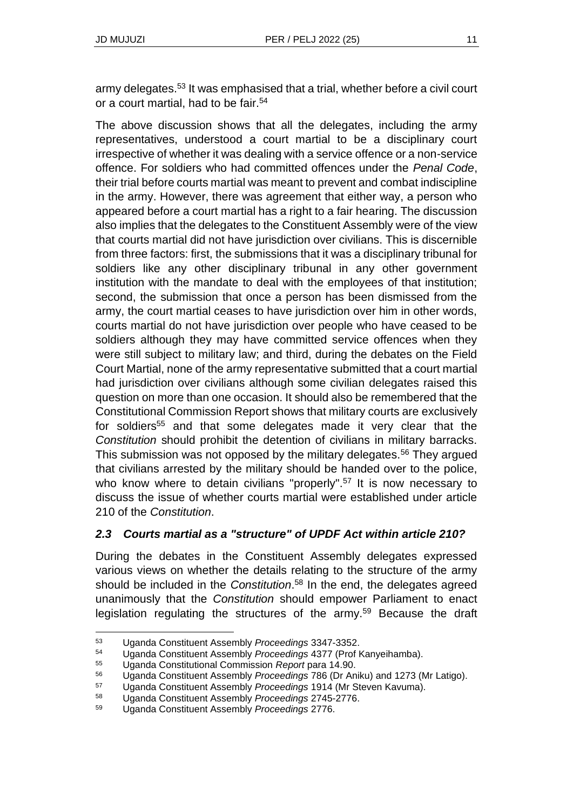army delegates.<sup>53</sup> It was emphasised that a trial, whether before a civil court or a court martial, had to be fair.<sup>54</sup>

The above discussion shows that all the delegates, including the army representatives, understood a court martial to be a disciplinary court irrespective of whether it was dealing with a service offence or a non-service offence. For soldiers who had committed offences under the *Penal Code*, their trial before courts martial was meant to prevent and combat indiscipline in the army. However, there was agreement that either way, a person who appeared before a court martial has a right to a fair hearing. The discussion also implies that the delegates to the Constituent Assembly were of the view that courts martial did not have jurisdiction over civilians. This is discernible from three factors: first, the submissions that it was a disciplinary tribunal for soldiers like any other disciplinary tribunal in any other government institution with the mandate to deal with the employees of that institution; second, the submission that once a person has been dismissed from the army, the court martial ceases to have jurisdiction over him in other words, courts martial do not have jurisdiction over people who have ceased to be soldiers although they may have committed service offences when they were still subject to military law; and third, during the debates on the Field Court Martial, none of the army representative submitted that a court martial had jurisdiction over civilians although some civilian delegates raised this question on more than one occasion. It should also be remembered that the Constitutional Commission Report shows that military courts are exclusively for soldiers<sup>55</sup> and that some delegates made it very clear that the *Constitution* should prohibit the detention of civilians in military barracks. This submission was not opposed by the military delegates.<sup>56</sup> They argued that civilians arrested by the military should be handed over to the police, who know where to detain civilians "properly".<sup>57</sup> It is now necessary to discuss the issue of whether courts martial were established under article 210 of the *Constitution*.

## *2.3 Courts martial as a "structure" of UPDF Act within article 210?*

During the debates in the Constituent Assembly delegates expressed various views on whether the details relating to the structure of the army should be included in the *Constitution*. <sup>58</sup> In the end, the delegates agreed unanimously that the *Constitution* should empower Parliament to enact legislation regulating the structures of the army.<sup>59</sup> Because the draft

<sup>57</sup> Uganda Constituent Assembly *Proceedings* 1914 (Mr Steven Kavuma).

<sup>53</sup> Uganda Constituent Assembly *Proceedings* 3347-3352.

<sup>54</sup> Uganda Constituent Assembly *Proceedings* 4377 (Prof Kanyeihamba).

<sup>55</sup> Uganda Constitutional Commission *Report* para 14.90.

<sup>56</sup> Uganda Constituent Assembly *Proceedings* 786 (Dr Aniku) and 1273 (Mr Latigo).

<sup>58</sup> Uganda Constituent Assembly *Proceedings* 2745-2776.

<sup>59</sup> Uganda Constituent Assembly *Proceedings* 2776.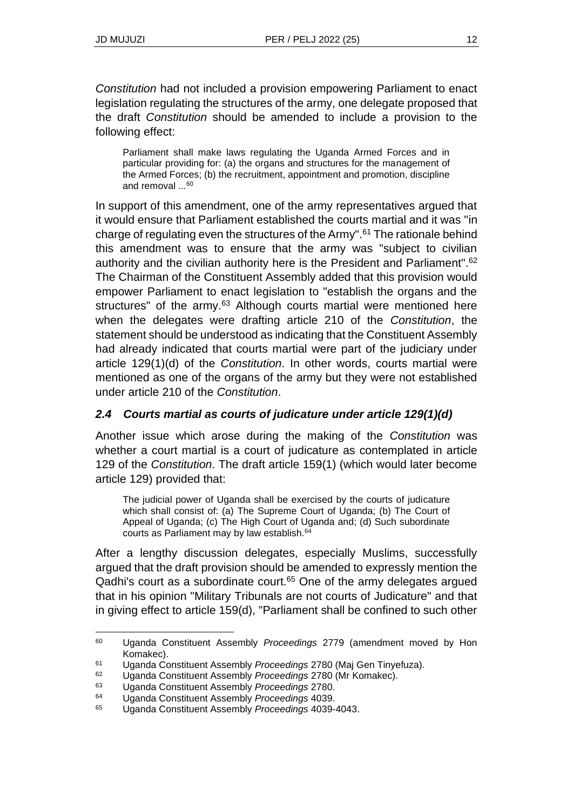*Constitution* had not included a provision empowering Parliament to enact legislation regulating the structures of the army, one delegate proposed that the draft *Constitution* should be amended to include a provision to the following effect:

Parliament shall make laws regulating the Uganda Armed Forces and in particular providing for: (a) the organs and structures for the management of the Armed Forces; (b) the recruitment, appointment and promotion, discipline and removal ...<sup>60</sup>

In support of this amendment, one of the army representatives argued that it would ensure that Parliament established the courts martial and it was "in charge of regulating even the structures of the Army".<sup>61</sup> The rationale behind this amendment was to ensure that the army was "subject to civilian authority and the civilian authority here is the President and Parliament".<sup>62</sup> The Chairman of the Constituent Assembly added that this provision would empower Parliament to enact legislation to "establish the organs and the structures" of the army.<sup>63</sup> Although courts martial were mentioned here when the delegates were drafting article 210 of the *Constitution*, the statement should be understood as indicating that the Constituent Assembly had already indicated that courts martial were part of the judiciary under article 129(1)(d) of the *Constitution*. In other words, courts martial were mentioned as one of the organs of the army but they were not established under article 210 of the *Constitution*.

## *2.4 Courts martial as courts of judicature under article 129(1)(d)*

Another issue which arose during the making of the *Constitution* was whether a court martial is a court of judicature as contemplated in article 129 of the *Constitution*. The draft article 159(1) (which would later become article 129) provided that:

The judicial power of Uganda shall be exercised by the courts of judicature which shall consist of: (a) The Supreme Court of Uganda; (b) The Court of Appeal of Uganda; (c) The High Court of Uganda and; (d) Such subordinate courts as Parliament may by law establish.<sup>64</sup>

After a lengthy discussion delegates, especially Muslims, successfully argued that the draft provision should be amended to expressly mention the Qadhi's court as a subordinate court. $65$  One of the army delegates argued that in his opinion "Military Tribunals are not courts of Judicature" and that in giving effect to article 159(d), "Parliament shall be confined to such other

<sup>60</sup> Uganda Constituent Assembly *Proceedings* 2779 (amendment moved by Hon Komakec).

<sup>61</sup> Uganda Constituent Assembly *Proceedings* 2780 (Maj Gen Tinyefuza).

<sup>62</sup> Uganda Constituent Assembly *Proceedings* 2780 (Mr Komakec).

<sup>63</sup> Uganda Constituent Assembly *Proceedings* 2780.

<sup>64</sup> Uganda Constituent Assembly *Proceedings* 4039.

<sup>65</sup> Uganda Constituent Assembly *Proceedings* 4039-4043.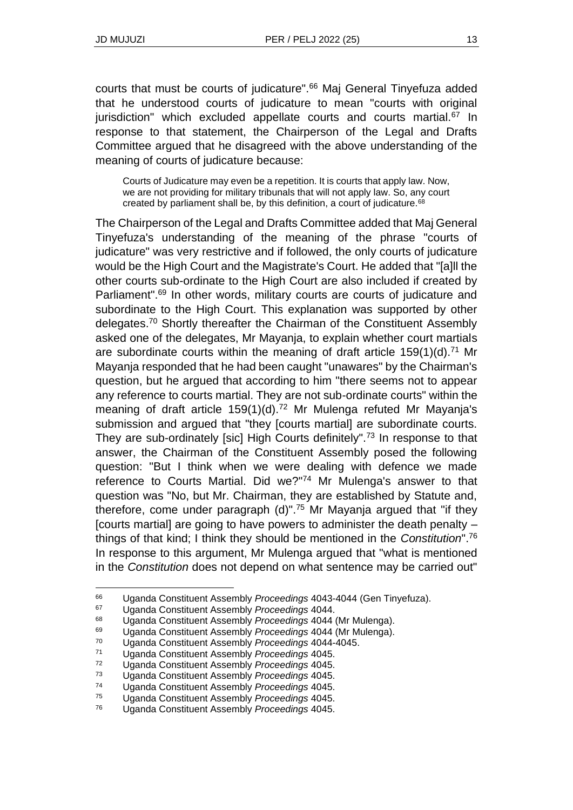courts that must be courts of judicature".<sup>66</sup> Maj General Tinyefuza added that he understood courts of judicature to mean "courts with original jurisdiction" which excluded appellate courts and courts martial.<sup>67</sup> In response to that statement, the Chairperson of the Legal and Drafts Committee argued that he disagreed with the above understanding of the meaning of courts of judicature because:

Courts of Judicature may even be a repetition. It is courts that apply law. Now, we are not providing for military tribunals that will not apply law. So, any court created by parliament shall be, by this definition, a court of judicature.<sup>68</sup>

The Chairperson of the Legal and Drafts Committee added that Maj General Tinyefuza's understanding of the meaning of the phrase "courts of judicature" was very restrictive and if followed, the only courts of judicature would be the High Court and the Magistrate's Court. He added that "[a]ll the other courts sub-ordinate to the High Court are also included if created by Parliament".<sup>69</sup> In other words, military courts are courts of judicature and subordinate to the High Court. This explanation was supported by other delegates.<sup>70</sup> Shortly thereafter the Chairman of the Constituent Assembly asked one of the delegates, Mr Mayanja, to explain whether court martials are subordinate courts within the meaning of draft article  $159(1)(d)$ .<sup>71</sup> Mr Mayanja responded that he had been caught "unawares" by the Chairman's question, but he argued that according to him "there seems not to appear any reference to courts martial. They are not sub-ordinate courts" within the meaning of draft article 159(1)(d).<sup>72</sup> Mr Mulenga refuted Mr Mayanja's submission and argued that "they [courts martial] are subordinate courts. They are sub-ordinately [sic] High Courts definitely".<sup>73</sup> In response to that answer, the Chairman of the Constituent Assembly posed the following question: "But I think when we were dealing with defence we made reference to Courts Martial. Did we?"<sup>74</sup> Mr Mulenga's answer to that question was "No, but Mr. Chairman, they are established by Statute and, therefore, come under paragraph  $(d)$ ".<sup>75</sup> Mr Mayanja argued that "if they [courts martial] are going to have powers to administer the death penalty – things of that kind; I think they should be mentioned in the *Constitution*".<sup>76</sup> In response to this argument, Mr Mulenga argued that "what is mentioned in the *Constitution* does not depend on what sentence may be carried out"

<sup>66</sup> Uganda Constituent Assembly *Proceedings* 4043-4044 (Gen Tinyefuza).

<sup>67</sup> Uganda Constituent Assembly *Proceedings* 4044.

<sup>68</sup> Uganda Constituent Assembly *Proceedings* 4044 (Mr Mulenga).

<sup>69</sup> Uganda Constituent Assembly *Proceedings* 4044 (Mr Mulenga).

<sup>70</sup> Uganda Constituent Assembly *Proceedings* 4044-4045.

<sup>71</sup> Uganda Constituent Assembly *Proceedings* 4045.

<sup>72</sup> Uganda Constituent Assembly *Proceedings* 4045.

<sup>73</sup> Uganda Constituent Assembly *Proceedings* 4045.

<sup>74</sup> Uganda Constituent Assembly *Proceedings* 4045.

<sup>75</sup> Uganda Constituent Assembly *Proceedings* 4045.

<sup>76</sup> Uganda Constituent Assembly *Proceedings* 4045.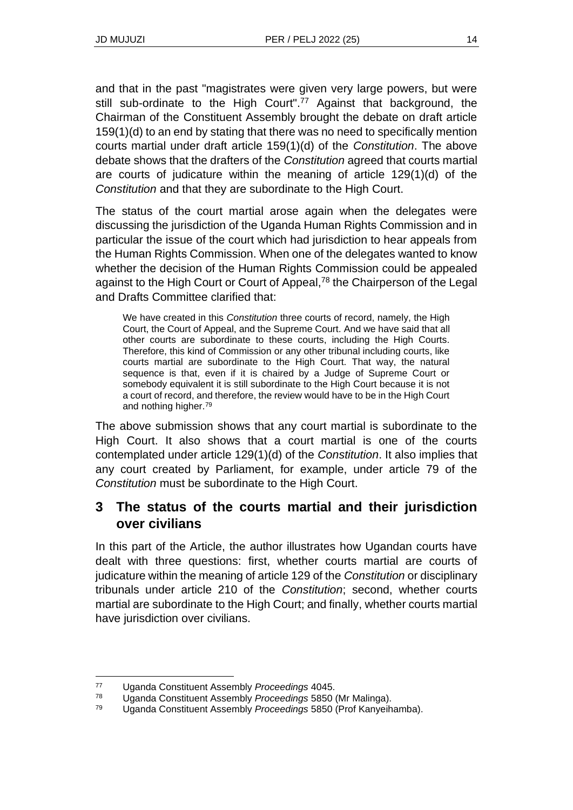and that in the past "magistrates were given very large powers, but were still sub-ordinate to the High Court".<sup>77</sup> Against that background, the Chairman of the Constituent Assembly brought the debate on draft article 159(1)(d) to an end by stating that there was no need to specifically mention courts martial under draft article 159(1)(d) of the *Constitution*. The above debate shows that the drafters of the *Constitution* agreed that courts martial are courts of judicature within the meaning of article 129(1)(d) of the *Constitution* and that they are subordinate to the High Court.

The status of the court martial arose again when the delegates were discussing the jurisdiction of the Uganda Human Rights Commission and in particular the issue of the court which had jurisdiction to hear appeals from the Human Rights Commission. When one of the delegates wanted to know whether the decision of the Human Rights Commission could be appealed against to the High Court or Court of Appeal,<sup>78</sup> the Chairperson of the Legal and Drafts Committee clarified that:

We have created in this *Constitution* three courts of record, namely, the High Court, the Court of Appeal, and the Supreme Court. And we have said that all other courts are subordinate to these courts, including the High Courts. Therefore, this kind of Commission or any other tribunal including courts, like courts martial are subordinate to the High Court. That way, the natural sequence is that, even if it is chaired by a Judge of Supreme Court or somebody equivalent it is still subordinate to the High Court because it is not a court of record, and therefore, the review would have to be in the High Court and nothing higher.<sup>79</sup>

The above submission shows that any court martial is subordinate to the High Court. It also shows that a court martial is one of the courts contemplated under article 129(1)(d) of the *Constitution*. It also implies that any court created by Parliament, for example, under article 79 of the *Constitution* must be subordinate to the High Court.

# **3 The status of the courts martial and their jurisdiction over civilians**

In this part of the Article, the author illustrates how Ugandan courts have dealt with three questions: first, whether courts martial are courts of judicature within the meaning of article 129 of the *Constitution* or disciplinary tribunals under article 210 of the *Constitution*; second, whether courts martial are subordinate to the High Court; and finally, whether courts martial have jurisdiction over civilians.

<sup>77</sup> Uganda Constituent Assembly *Proceedings* 4045.

<sup>78</sup> Uganda Constituent Assembly *Proceedings* 5850 (Mr Malinga).

<sup>79</sup> Uganda Constituent Assembly *Proceedings* 5850 (Prof Kanyeihamba).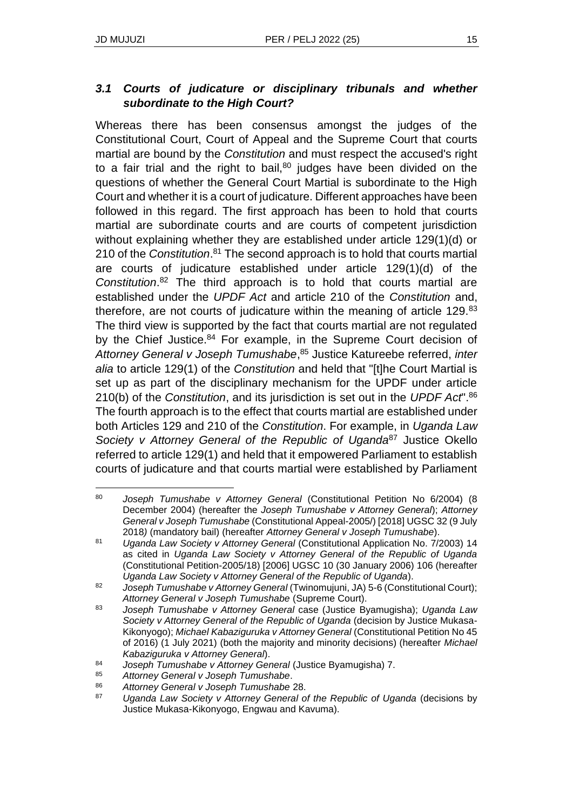#### *3.1 Courts of judicature or disciplinary tribunals and whether subordinate to the High Court?*

Whereas there has been consensus amongst the judges of the Constitutional Court, Court of Appeal and the Supreme Court that courts martial are bound by the *Constitution* and must respect the accused's right to a fair trial and the right to bail, $80$  judges have been divided on the questions of whether the General Court Martial is subordinate to the High Court and whether it is a court of judicature. Different approaches have been followed in this regard. The first approach has been to hold that courts martial are subordinate courts and are courts of competent jurisdiction without explaining whether they are established under article 129(1)(d) or 210 of the *Constitution*. <sup>81</sup> The second approach is to hold that courts martial are courts of judicature established under article 129(1)(d) of the *Constitution*. <sup>82</sup> The third approach is to hold that courts martial are established under the *UPDF Act* and article 210 of the *Constitution* and, therefore, are not courts of judicature within the meaning of article 129.83 The third view is supported by the fact that courts martial are not regulated by the Chief Justice.<sup>84</sup> For example, in the Supreme Court decision of *Attorney General v Joseph Tumushabe*, <sup>85</sup> Justice Katureebe referred, *inter alia* to article 129(1) of the *Constitution* and held that "[t]he Court Martial is set up as part of the disciplinary mechanism for the UPDF under article 210(b) of the *Constitution*, and its jurisdiction is set out in the *UPDF Act*".<sup>86</sup> The fourth approach is to the effect that courts martial are established under both Articles 129 and 210 of the *Constitution*. For example, in *Uganda Law Society v Attorney General of the Republic of Uganda*<sup>87</sup> Justice Okello referred to article 129(1) and held that it empowered Parliament to establish courts of judicature and that courts martial were established by Parliament

<sup>80</sup> *Joseph Tumushabe v Attorney General* (Constitutional Petition No 6/2004) (8 December 2004) (hereafter the *Joseph Tumushabe v Attorney General*); *Attorney General v Joseph Tumushabe* (Constitutional Appeal-2005/) [2018] UGSC 32 (9 July 2018*)* (mandatory bail) (hereafter *Attorney General v Joseph Tumushabe*).

<sup>81</sup> *Uganda Law Society v Attorney General* (Constitutional Application No. 7/2003) 14 as cited in *Uganda Law Society v Attorney General of the Republic of Uganda*  (Constitutional Petition-2005/18) [2006] UGSC 10 (30 January 2006) 106 (hereafter *Uganda Law Society v Attorney General of the Republic of Uganda*).

<sup>82</sup> *Joseph Tumushabe v Attorney General* (Twinomujuni, JA) 5-6 (Constitutional Court); *Attorney General v Joseph Tumushabe* (Supreme Court).

<sup>83</sup> *Joseph Tumushabe v Attorney General* case (Justice Byamugisha); *Uganda Law Society v Attorney General of the Republic of Uganda* (decision by Justice Mukasa-Kikonyogo); *Michael Kabaziguruka v Attorney General* (Constitutional Petition No 45 of 2016) (1 July 2021) (both the majority and minority decisions) (hereafter *Michael Kabaziguruka v Attorney General*).

<sup>84</sup> *Joseph Tumushabe v Attorney General* (Justice Byamugisha) 7.

<sup>85</sup> *Attorney General v Joseph Tumushabe*.

<sup>86</sup> *Attorney General v Joseph Tumushabe* 28.

<sup>87</sup> *Uganda Law Society v Attorney General of the Republic of Uganda* (decisions by Justice Mukasa-Kikonyogo, Engwau and Kavuma).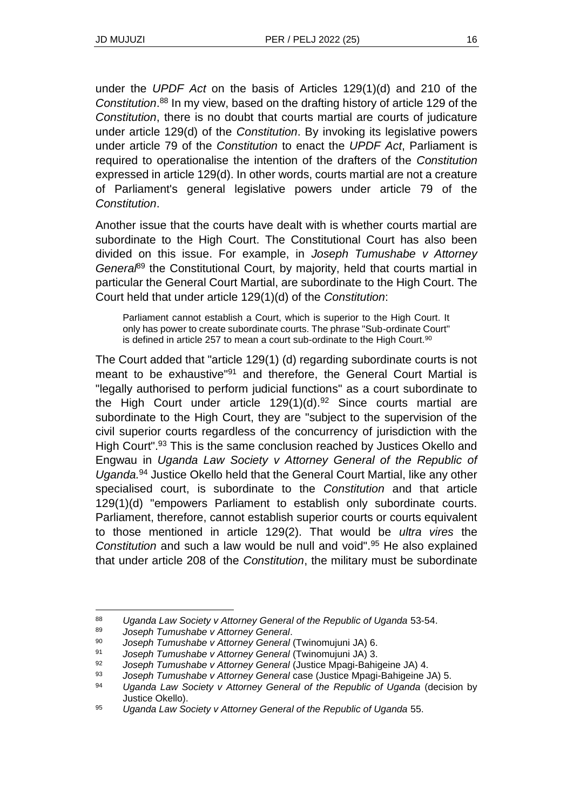under the *UPDF Act* on the basis of Articles 129(1)(d) and 210 of the *Constitution*. <sup>88</sup> In my view, based on the drafting history of article 129 of the *Constitution*, there is no doubt that courts martial are courts of judicature under article 129(d) of the *Constitution*. By invoking its legislative powers under article 79 of the *Constitution* to enact the *UPDF Act*, Parliament is required to operationalise the intention of the drafters of the *Constitution* expressed in article 129(d). In other words, courts martial are not a creature of Parliament's general legislative powers under article 79 of the *Constitution*.

Another issue that the courts have dealt with is whether courts martial are subordinate to the High Court. The Constitutional Court has also been divided on this issue. For example, in *Joseph Tumushabe v Attorney General*<sup>89</sup> the Constitutional Court, by majority, held that courts martial in particular the General Court Martial, are subordinate to the High Court. The Court held that under article 129(1)(d) of the *Constitution*:

Parliament cannot establish a Court, which is superior to the High Court. It only has power to create subordinate courts. The phrase "Sub-ordinate Court" is defined in article 257 to mean a court sub-ordinate to the High Court.<sup>90</sup>

The Court added that "article 129(1) (d) regarding subordinate courts is not meant to be exhaustive<sup>"91</sup> and therefore, the General Court Martial is "legally authorised to perform judicial functions" as a court subordinate to the High Court under article  $129(1)(d).^{92}$  Since courts martial are subordinate to the High Court, they are "subject to the supervision of the civil superior courts regardless of the concurrency of jurisdiction with the High Court".<sup>93</sup> This is the same conclusion reached by Justices Okello and Engwau in *Uganda Law Society v Attorney General of the Republic of Uganda.*<sup>94</sup> Justice Okello held that the General Court Martial, like any other specialised court, is subordinate to the *Constitution* and that article 129(1)(d) "empowers Parliament to establish only subordinate courts. Parliament, therefore, cannot establish superior courts or courts equivalent to those mentioned in article 129(2). That would be *ultra vires* the *Constitution* and such a law would be null and void".<sup>95</sup> He also explained that under article 208 of the *Constitution*, the military must be subordinate

<sup>88</sup> *Uganda Law Society v Attorney General of the Republic of Uganda* 53-54.

<sup>89</sup> *Joseph Tumushabe v Attorney General*.

<sup>90</sup> *Joseph Tumushabe v Attorney General* (Twinomujuni JA) 6.

<sup>91</sup> *Joseph Tumushabe v Attorney General* (Twinomujuni JA) 3.

<sup>92</sup> *Joseph Tumushabe v Attorney General* (Justice Mpagi-Bahigeine JA) 4.

<sup>93</sup> *Joseph Tumushabe v Attorney General* case (Justice Mpagi-Bahigeine JA) 5.

<sup>94</sup> *Uganda Law Society v Attorney General of the Republic of Uganda* (decision by Justice Okello).

<sup>95</sup> *Uganda Law Society v Attorney General of the Republic of Uganda* 55.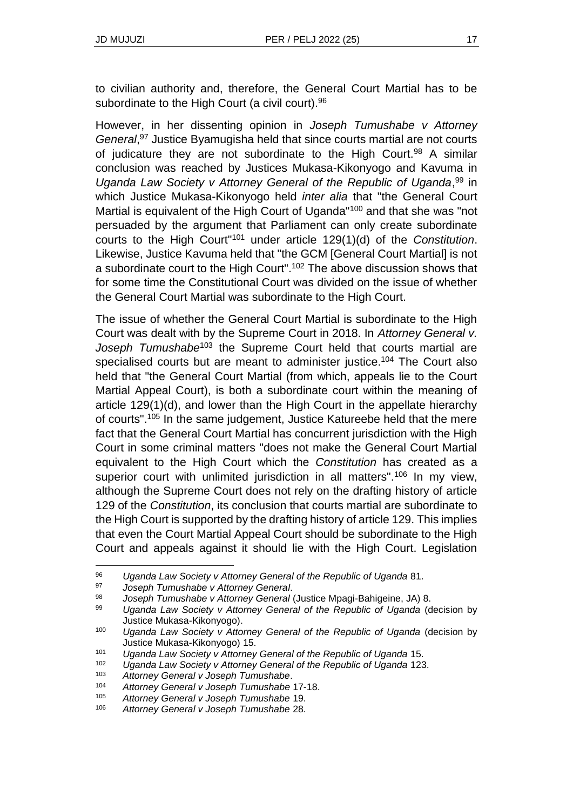to civilian authority and, therefore, the General Court Martial has to be subordinate to the High Court (a civil court).<sup>96</sup>

However, in her dissenting opinion in *Joseph Tumushabe v Attorney General*, <sup>97</sup> Justice Byamugisha held that since courts martial are not courts of judicature they are not subordinate to the High Court.<sup>98</sup> A similar conclusion was reached by Justices Mukasa-Kikonyogo and Kavuma in Uganda Law Society v Attorney General of the Republic of Uganda,<sup>99</sup> in which Justice Mukasa-Kikonyogo held *inter alia* that "the General Court Martial is equivalent of the High Court of Uganda<sup>"100</sup> and that she was "not persuaded by the argument that Parliament can only create subordinate courts to the High Court"<sup>101</sup> under article 129(1)(d) of the *Constitution*. Likewise, Justice Kavuma held that "the GCM [General Court Martial] is not a subordinate court to the High Court".<sup>102</sup> The above discussion shows that for some time the Constitutional Court was divided on the issue of whether the General Court Martial was subordinate to the High Court.

The issue of whether the General Court Martial is subordinate to the High Court was dealt with by the Supreme Court in 2018. In *Attorney General v.*  Joseph Tumushabe<sup>103</sup> the Supreme Court held that courts martial are specialised courts but are meant to administer justice.<sup>104</sup> The Court also held that "the General Court Martial (from which, appeals lie to the Court Martial Appeal Court), is both a subordinate court within the meaning of article 129(1)(d), and lower than the High Court in the appellate hierarchy of courts".<sup>105</sup> In the same judgement, Justice Katureebe held that the mere fact that the General Court Martial has concurrent jurisdiction with the High Court in some criminal matters "does not make the General Court Martial equivalent to the High Court which the *Constitution* has created as a superior court with unlimited jurisdiction in all matters".<sup>106</sup> In my view, although the Supreme Court does not rely on the drafting history of article 129 of the *Constitution*, its conclusion that courts martial are subordinate to the High Court is supported by the drafting history of article 129. This implies that even the Court Martial Appeal Court should be subordinate to the High Court and appeals against it should lie with the High Court. Legislation

<sup>97</sup> *Joseph Tumushabe v Attorney General*.

<sup>96</sup> *Uganda Law Society v Attorney General of the Republic of Uganda* 81.

<sup>98</sup> *Joseph Tumushabe v Attorney General* (Justice Mpagi-Bahigeine, JA) 8.

<sup>99</sup> *Uganda Law Society v Attorney General of the Republic of Uganda* (decision by Justice Mukasa-Kikonyogo).

<sup>100</sup> *Uganda Law Society v Attorney General of the Republic of Uganda* (decision by Justice Mukasa-Kikonyogo) 15.

<sup>101</sup> *Uganda Law Society v Attorney General of the Republic of Uganda* 15.

<sup>102</sup> *Uganda Law Society v Attorney General of the Republic of Uganda* 123.

<sup>103</sup> *Attorney General v Joseph Tumushabe*.

<sup>104</sup> *Attorney General v Joseph Tumushabe* 17-18.

<sup>105</sup> *Attorney General v Joseph Tumushabe* 19.

<sup>106</sup> *Attorney General v Joseph Tumushabe* 28.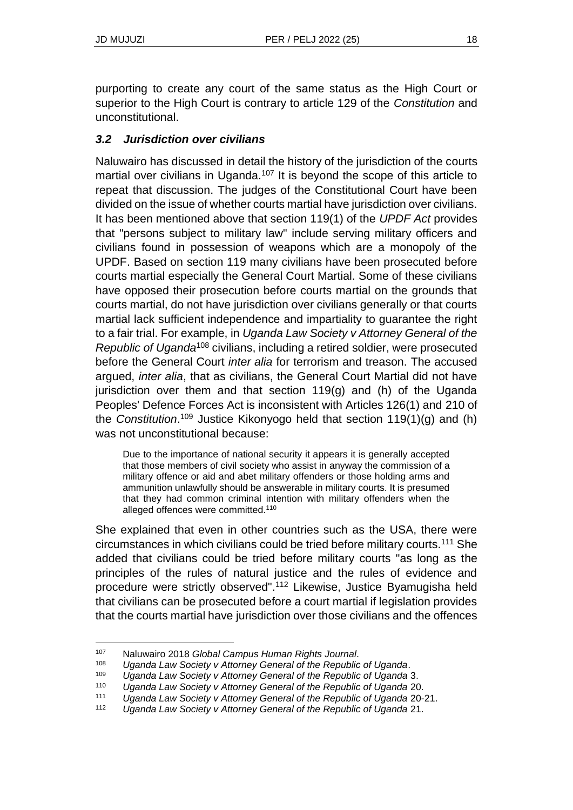purporting to create any court of the same status as the High Court or superior to the High Court is contrary to article 129 of the *Constitution* and unconstitutional.

## *3.2 Jurisdiction over civilians*

Naluwairo has discussed in detail the history of the jurisdiction of the courts martial over civilians in Uganda.<sup>107</sup> It is beyond the scope of this article to repeat that discussion. The judges of the Constitutional Court have been divided on the issue of whether courts martial have jurisdiction over civilians. It has been mentioned above that section 119(1) of the *UPDF Act* provides that "persons subject to military law" include serving military officers and civilians found in possession of weapons which are a monopoly of the UPDF. Based on section 119 many civilians have been prosecuted before courts martial especially the General Court Martial. Some of these civilians have opposed their prosecution before courts martial on the grounds that courts martial, do not have jurisdiction over civilians generally or that courts martial lack sufficient independence and impartiality to guarantee the right to a fair trial. For example, in *Uganda Law Society v Attorney General of the Republic of Uganda*<sup>108</sup> civilians, including a retired soldier, were prosecuted before the General Court *inter alia* for terrorism and treason. The accused argued, *inter alia*, that as civilians, the General Court Martial did not have jurisdiction over them and that section 119(g) and (h) of the Uganda Peoples' Defence Forces Act is inconsistent with Articles 126(1) and 210 of the *Constitution*. <sup>109</sup> Justice Kikonyogo held that section 119(1)(g) and (h) was not unconstitutional because:

Due to the importance of national security it appears it is generally accepted that those members of civil society who assist in anyway the commission of a military offence or aid and abet military offenders or those holding arms and ammunition unlawfully should be answerable in military courts. It is presumed that they had common criminal intention with military offenders when the alleged offences were committed.<sup>110</sup>

She explained that even in other countries such as the USA, there were circumstances in which civilians could be tried before military courts.<sup>111</sup> She added that civilians could be tried before military courts "as long as the principles of the rules of natural justice and the rules of evidence and procedure were strictly observed".<sup>112</sup> Likewise, Justice Byamugisha held that civilians can be prosecuted before a court martial if legislation provides that the courts martial have jurisdiction over those civilians and the offences

<sup>107</sup> Naluwairo 2018 *Global Campus Human Rights Journal*.

Uganda Law Society v Attorney General of the Republic of Uganda.

<sup>109</sup> *Uganda Law Society v Attorney General of the Republic of Uganda* 3.

<sup>110</sup> *Uganda Law Society v Attorney General of the Republic of Uganda* 20.

<sup>111</sup> *Uganda Law Society v Attorney General of the Republic of Uganda* 20-21.

<sup>112</sup> *Uganda Law Society v Attorney General of the Republic of Uganda* 21.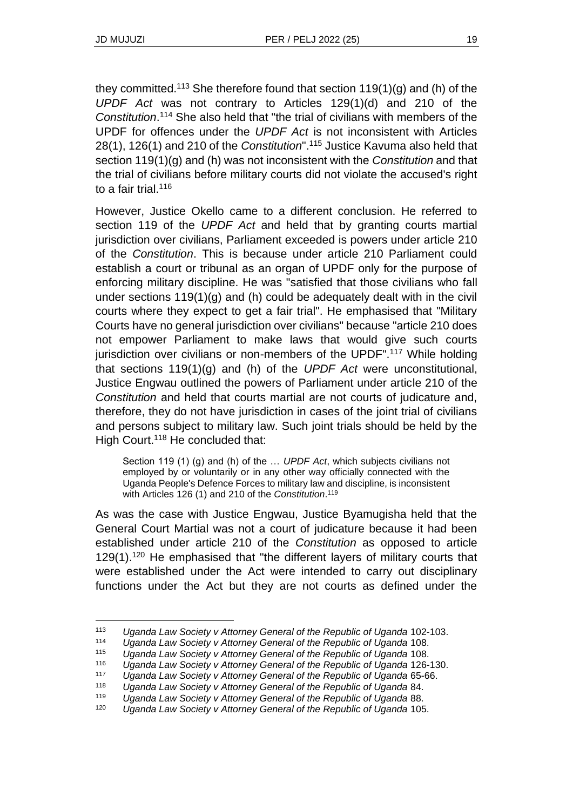they committed.<sup>113</sup> She therefore found that section  $119(1)(g)$  and (h) of the *UPDF Act* was not contrary to Articles 129(1)(d) and 210 of the *Constitution*. <sup>114</sup> She also held that "the trial of civilians with members of the UPDF for offences under the *UPDF Act* is not inconsistent with Articles 28(1), 126(1) and 210 of the *Constitution*".<sup>115</sup> Justice Kavuma also held that section 119(1)(g) and (h) was not inconsistent with the *Constitution* and that the trial of civilians before military courts did not violate the accused's right to a fair trial.<sup>116</sup>

However, Justice Okello came to a different conclusion. He referred to section 119 of the *UPDF Act* and held that by granting courts martial jurisdiction over civilians, Parliament exceeded is powers under article 210 of the *Constitution*. This is because under article 210 Parliament could establish a court or tribunal as an organ of UPDF only for the purpose of enforcing military discipline. He was "satisfied that those civilians who fall under sections 119(1)(g) and (h) could be adequately dealt with in the civil courts where they expect to get a fair trial". He emphasised that "Military Courts have no general jurisdiction over civilians" because "article 210 does not empower Parliament to make laws that would give such courts jurisdiction over civilians or non-members of the UPDF".<sup>117</sup> While holding that sections 119(1)(g) and (h) of the *UPDF Act* were unconstitutional, Justice Engwau outlined the powers of Parliament under article 210 of the *Constitution* and held that courts martial are not courts of judicature and, therefore, they do not have jurisdiction in cases of the joint trial of civilians and persons subject to military law. Such joint trials should be held by the High Court.<sup>118</sup> He concluded that:

Section 119 (1) (g) and (h) of the … *UPDF Act*, which subjects civilians not employed by or voluntarily or in any other way officially connected with the Uganda People's Defence Forces to military law and discipline, is inconsistent with Articles 126 (1) and 210 of the *Constitution*. 119

As was the case with Justice Engwau, Justice Byamugisha held that the General Court Martial was not a court of judicature because it had been established under article 210 of the *Constitution* as opposed to article 129(1).<sup>120</sup> He emphasised that "the different layers of military courts that were established under the Act were intended to carry out disciplinary functions under the Act but they are not courts as defined under the

<sup>113</sup> *Uganda Law Society v Attorney General of the Republic of Uganda* 102-103.

<sup>114</sup> *Uganda Law Society v Attorney General of the Republic of Uganda* 108.

<sup>115</sup> *Uganda Law Society v Attorney General of the Republic of Uganda* 108.

<sup>116</sup> *Uganda Law Society v Attorney General of the Republic of Uganda* 126-130.

<sup>117</sup> *Uganda Law Society v Attorney General of the Republic of Uganda* 65-66.

<sup>118</sup> *Uganda Law Society v Attorney General of the Republic of Uganda* 84.

<sup>119</sup> *Uganda Law Society v Attorney General of the Republic of Uganda* 88.

<sup>120</sup> *Uganda Law Society v Attorney General of the Republic of Uganda* 105.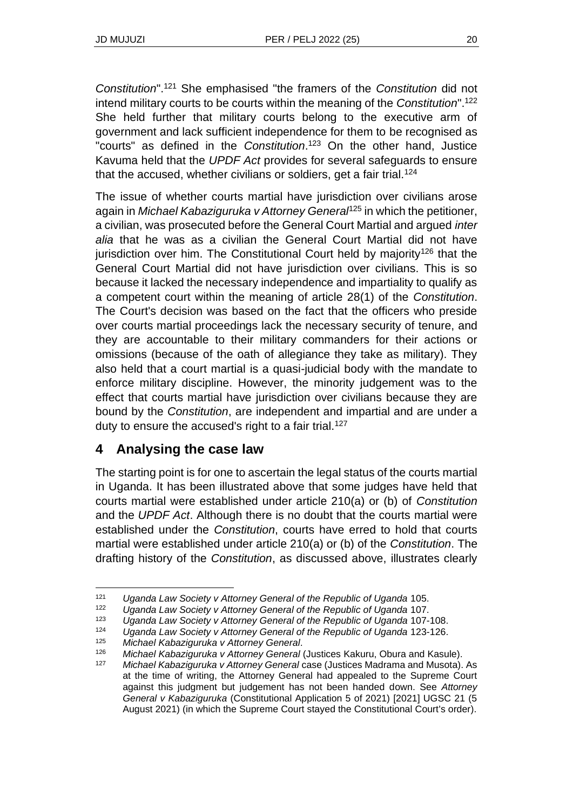*Constitution*".<sup>121</sup> She emphasised "the framers of the *Constitution* did not intend military courts to be courts within the meaning of the *Constitution*".<sup>122</sup> She held further that military courts belong to the executive arm of government and lack sufficient independence for them to be recognised as "courts" as defined in the *Constitution*. <sup>123</sup> On the other hand, Justice Kavuma held that the *UPDF Act* provides for several safeguards to ensure that the accused, whether civilians or soldiers, get a fair trial.<sup>124</sup>

The issue of whether courts martial have jurisdiction over civilians arose again in *Michael Kabaziguruka v Attorney General*<sup>125</sup> in which the petitioner, a civilian, was prosecuted before the General Court Martial and argued *inter alia* that he was as a civilian the General Court Martial did not have jurisdiction over him. The Constitutional Court held by majority<sup>126</sup> that the General Court Martial did not have jurisdiction over civilians. This is so because it lacked the necessary independence and impartiality to qualify as a competent court within the meaning of article 28(1) of the *Constitution*. The Court's decision was based on the fact that the officers who preside over courts martial proceedings lack the necessary security of tenure, and they are accountable to their military commanders for their actions or omissions (because of the oath of allegiance they take as military). They also held that a court martial is a quasi-judicial body with the mandate to enforce military discipline. However, the minority judgement was to the effect that courts martial have jurisdiction over civilians because they are bound by the *Constitution*, are independent and impartial and are under a duty to ensure the accused's right to a fair trial.<sup>127</sup>

# **4 Analysing the case law**

The starting point is for one to ascertain the legal status of the courts martial in Uganda. It has been illustrated above that some judges have held that courts martial were established under article 210(a) or (b) of *Constitution* and the *UPDF Act*. Although there is no doubt that the courts martial were established under the *Constitution*, courts have erred to hold that courts martial were established under article 210(a) or (b) of the *Constitution*. The drafting history of the *Constitution*, as discussed above, illustrates clearly

<sup>121</sup> *Uganda Law Society v Attorney General of the Republic of Uganda* 105.

<sup>122</sup> *Uganda Law Society v Attorney General of the Republic of Uganda* 107.

<sup>123</sup> *Uganda Law Society v Attorney General of the Republic of Uganda* 107-108.

<sup>124</sup> *Uganda Law Society v Attorney General of the Republic of Uganda* 123-126.

<sup>125</sup> *Michael Kabaziguruka v Attorney General*.

<sup>126</sup> *Michael Kabaziguruka v Attorney General* (Justices Kakuru, Obura and Kasule).

<sup>127</sup> *Michael Kabaziguruka v Attorney General* case (Justices Madrama and Musota). As at the time of writing, the Attorney General had appealed to the Supreme Court against this judgment but judgement has not been handed down. See *Attorney General v Kabaziguruka* (Constitutional Application 5 of 2021) [2021] UGSC 21 (5 August 2021) (in which the Supreme Court stayed the Constitutional Court's order).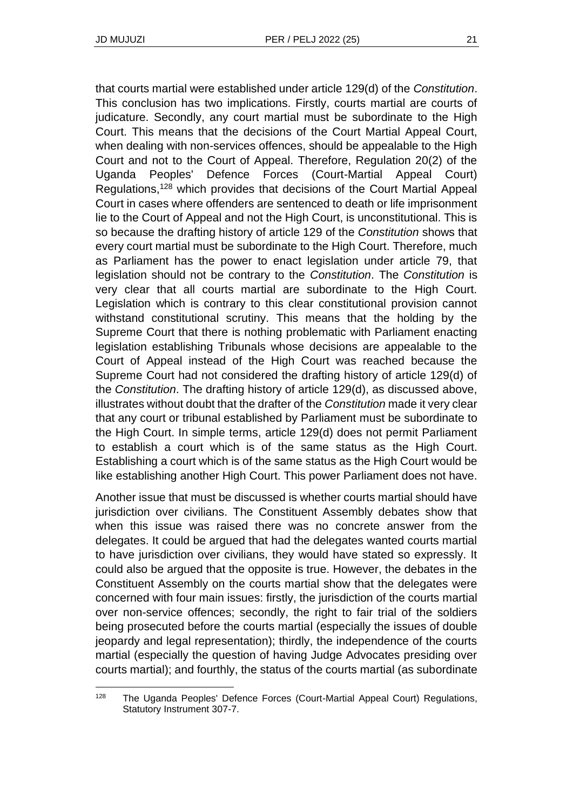that courts martial were established under article 129(d) of the *Constitution*. This conclusion has two implications. Firstly, courts martial are courts of judicature. Secondly, any court martial must be subordinate to the High Court. This means that the decisions of the Court Martial Appeal Court, when dealing with non-services offences, should be appealable to the High Court and not to the Court of Appeal. Therefore, Regulation 20(2) of the Uganda Peoples' Defence Forces (Court-Martial Appeal Court) Regulations,<sup>128</sup> which provides that decisions of the Court Martial Appeal Court in cases where offenders are sentenced to death or life imprisonment lie to the Court of Appeal and not the High Court, is unconstitutional. This is so because the drafting history of article 129 of the *Constitution* shows that every court martial must be subordinate to the High Court. Therefore, much as Parliament has the power to enact legislation under article 79, that legislation should not be contrary to the *Constitution*. The *Constitution* is very clear that all courts martial are subordinate to the High Court. Legislation which is contrary to this clear constitutional provision cannot withstand constitutional scrutiny. This means that the holding by the Supreme Court that there is nothing problematic with Parliament enacting legislation establishing Tribunals whose decisions are appealable to the Court of Appeal instead of the High Court was reached because the Supreme Court had not considered the drafting history of article 129(d) of the *Constitution*. The drafting history of article 129(d), as discussed above, illustrates without doubt that the drafter of the *Constitution* made it very clear that any court or tribunal established by Parliament must be subordinate to the High Court. In simple terms, article 129(d) does not permit Parliament to establish a court which is of the same status as the High Court. Establishing a court which is of the same status as the High Court would be like establishing another High Court. This power Parliament does not have.

Another issue that must be discussed is whether courts martial should have jurisdiction over civilians. The Constituent Assembly debates show that when this issue was raised there was no concrete answer from the delegates. It could be argued that had the delegates wanted courts martial to have jurisdiction over civilians, they would have stated so expressly. It could also be argued that the opposite is true. However, the debates in the Constituent Assembly on the courts martial show that the delegates were concerned with four main issues: firstly, the jurisdiction of the courts martial over non-service offences; secondly, the right to fair trial of the soldiers being prosecuted before the courts martial (especially the issues of double jeopardy and legal representation); thirdly, the independence of the courts martial (especially the question of having Judge Advocates presiding over courts martial); and fourthly, the status of the courts martial (as subordinate

<sup>&</sup>lt;sup>128</sup> The Uganda Peoples' Defence Forces (Court-Martial Appeal Court) Regulations, Statutory Instrument 307-7.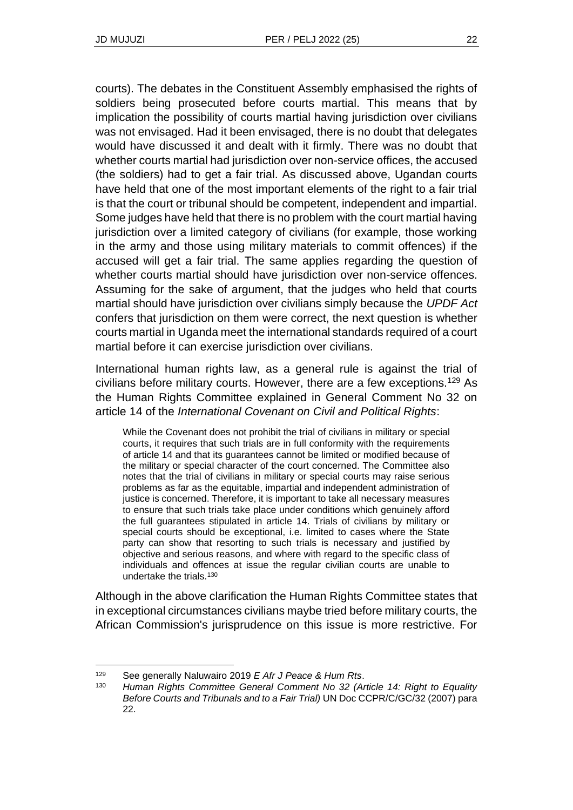courts). The debates in the Constituent Assembly emphasised the rights of soldiers being prosecuted before courts martial. This means that by implication the possibility of courts martial having jurisdiction over civilians was not envisaged. Had it been envisaged, there is no doubt that delegates would have discussed it and dealt with it firmly. There was no doubt that whether courts martial had jurisdiction over non-service offices, the accused (the soldiers) had to get a fair trial. As discussed above, Ugandan courts have held that one of the most important elements of the right to a fair trial is that the court or tribunal should be competent, independent and impartial. Some judges have held that there is no problem with the court martial having jurisdiction over a limited category of civilians (for example, those working in the army and those using military materials to commit offences) if the accused will get a fair trial. The same applies regarding the question of whether courts martial should have jurisdiction over non-service offences. Assuming for the sake of argument, that the judges who held that courts martial should have jurisdiction over civilians simply because the *UPDF Act* confers that jurisdiction on them were correct, the next question is whether courts martial in Uganda meet the international standards required of a court martial before it can exercise jurisdiction over civilians.

International human rights law, as a general rule is against the trial of civilians before military courts. However, there are a few exceptions.<sup>129</sup> As the Human Rights Committee explained in General Comment No 32 on article 14 of the *International Covenant on Civil and Political Rights*:

While the Covenant does not prohibit the trial of civilians in military or special courts, it requires that such trials are in full conformity with the requirements of article 14 and that its guarantees cannot be limited or modified because of the military or special character of the court concerned. The Committee also notes that the trial of civilians in military or special courts may raise serious problems as far as the equitable, impartial and independent administration of justice is concerned. Therefore, it is important to take all necessary measures to ensure that such trials take place under conditions which genuinely afford the full guarantees stipulated in article 14. Trials of civilians by military or special courts should be exceptional, i.e. limited to cases where the State party can show that resorting to such trials is necessary and justified by objective and serious reasons, and where with regard to the specific class of individuals and offences at issue the regular civilian courts are unable to undertake the trials.<sup>130</sup>

Although in the above clarification the Human Rights Committee states that in exceptional circumstances civilians maybe tried before military courts, the African Commission's jurisprudence on this issue is more restrictive. For

<sup>129</sup> See generally Naluwairo 2019 *E Afr J Peace & Hum Rts*.

<sup>130</sup> *Human Rights Committee General Comment No 32 (Article 14: Right to Equality Before Courts and Tribunals and to a Fair Trial)* UN Doc CCPR/C/GC/32 (2007) para 22.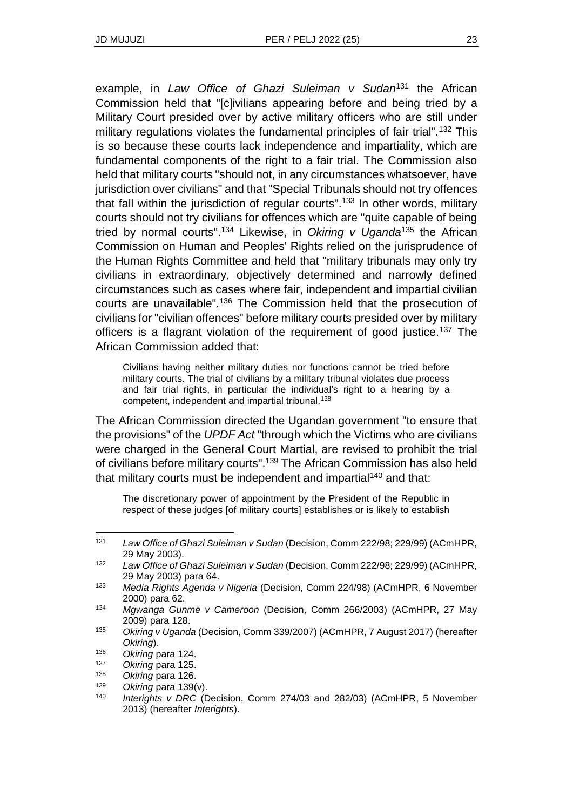example, in *Law Office of Ghazi Suleiman v Sudan*<sup>131</sup> the African Commission held that "[c]ivilians appearing before and being tried by a Military Court presided over by active military officers who are still under military regulations violates the fundamental principles of fair trial".<sup>132</sup> This is so because these courts lack independence and impartiality, which are fundamental components of the right to a fair trial. The Commission also held that military courts "should not, in any circumstances whatsoever, have jurisdiction over civilians" and that "Special Tribunals should not try offences that fall within the jurisdiction of regular courts".<sup>133</sup> In other words, military courts should not try civilians for offences which are "quite capable of being tried by normal courts".<sup>134</sup> Likewise, in *Okiring v Uganda*<sup>135</sup> the African Commission on Human and Peoples' Rights relied on the jurisprudence of the Human Rights Committee and held that "military tribunals may only try civilians in extraordinary, objectively determined and narrowly defined circumstances such as cases where fair, independent and impartial civilian courts are unavailable".<sup>136</sup> The Commission held that the prosecution of civilians for "civilian offences" before military courts presided over by military officers is a flagrant violation of the requirement of good justice.<sup>137</sup> The African Commission added that:

Civilians having neither military duties nor functions cannot be tried before military courts. The trial of civilians by a military tribunal violates due process and fair trial rights, in particular the individual's right to a hearing by a competent, independent and impartial tribunal.<sup>138</sup>

The African Commission directed the Ugandan government "to ensure that the provisions" of the *UPDF Act* "through which the Victims who are civilians were charged in the General Court Martial, are revised to prohibit the trial of civilians before military courts".<sup>139</sup> The African Commission has also held that military courts must be independent and impartial<sup>140</sup> and that:

The discretionary power of appointment by the President of the Republic in respect of these judges [of military courts] establishes or is likely to establish

<sup>131</sup> *Law Office of Ghazi Suleiman v Sudan* (Decision, Comm 222/98; 229/99) (ACmHPR, 29 May 2003).

<sup>132</sup> *Law Office of Ghazi Suleiman v Sudan* (Decision, Comm 222/98; 229/99) (ACmHPR, 29 May 2003) para 64.

<sup>133</sup> *Media Rights Agenda v Nigeria* (Decision, Comm 224/98) (ACmHPR, 6 November 2000) para 62.

<sup>134</sup> *Mgwanga Gunme v Cameroon* (Decision, Comm 266/2003) (ACmHPR, 27 May 2009) para 128.

<sup>135</sup> *Okiring v Uganda* (Decision, Comm 339/2007) (ACmHPR, 7 August 2017) (hereafter *Okiring*).

<sup>136</sup> *Okiring* para 124.

<sup>137</sup> *Okiring* para 125.

<sup>138</sup> *Okiring* para 126.

<sup>139</sup> *Okiring* para 139(v).

<sup>140</sup> *Interights v DRC* (Decision, Comm 274/03 and 282/03) (ACmHPR, 5 November 2013) (hereafter *Interights*).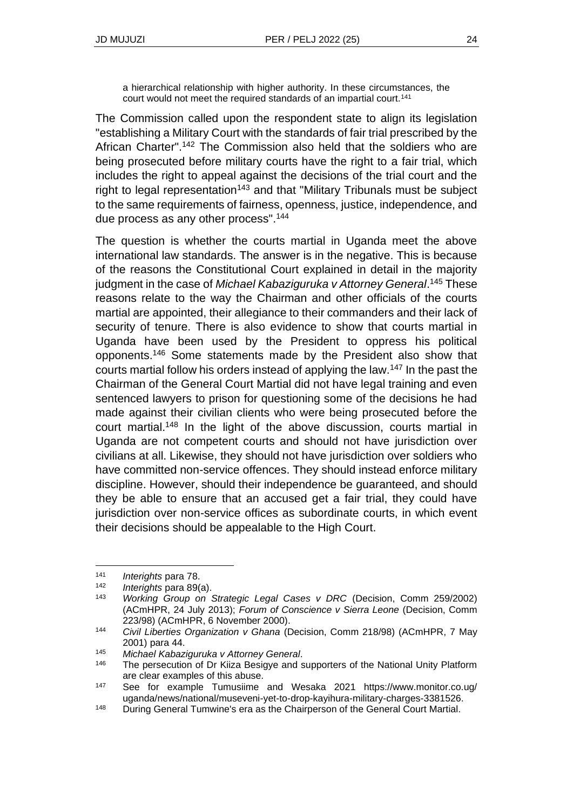a hierarchical relationship with higher authority. In these circumstances, the court would not meet the required standards of an impartial court.<sup>141</sup>

The Commission called upon the respondent state to align its legislation "establishing a Military Court with the standards of fair trial prescribed by the African Charter".<sup>142</sup> The Commission also held that the soldiers who are being prosecuted before military courts have the right to a fair trial, which includes the right to appeal against the decisions of the trial court and the right to legal representation<sup>143</sup> and that "Military Tribunals must be subject to the same requirements of fairness, openness, justice, independence, and due process as any other process".<sup>144</sup>

The question is whether the courts martial in Uganda meet the above international law standards. The answer is in the negative. This is because of the reasons the Constitutional Court explained in detail in the majority judgment in the case of *Michael Kabaziguruka v Attorney General*. <sup>145</sup> These reasons relate to the way the Chairman and other officials of the courts martial are appointed, their allegiance to their commanders and their lack of security of tenure. There is also evidence to show that courts martial in Uganda have been used by the President to oppress his political opponents.<sup>146</sup> Some statements made by the President also show that courts martial follow his orders instead of applying the law.<sup>147</sup> In the past the Chairman of the General Court Martial did not have legal training and even sentenced lawyers to prison for questioning some of the decisions he had made against their civilian clients who were being prosecuted before the court martial.<sup>148</sup> In the light of the above discussion, courts martial in Uganda are not competent courts and should not have jurisdiction over civilians at all. Likewise, they should not have jurisdiction over soldiers who have committed non-service offences. They should instead enforce military discipline. However, should their independence be guaranteed, and should they be able to ensure that an accused get a fair trial, they could have jurisdiction over non-service offices as subordinate courts, in which event their decisions should be appealable to the High Court.

<sup>141</sup> *Interights* para 78.

<sup>142</sup> *Interights* para 89(a).

<sup>143</sup> *Working Group on Strategic Legal Cases v DRC* (Decision, Comm 259/2002) (ACmHPR, 24 July 2013); *Forum of Conscience v Sierra Leone* (Decision, Comm 223/98) (ACmHPR, 6 November 2000).

<sup>144</sup> *Civil Liberties Organization v Ghana* (Decision, Comm 218/98) (ACmHPR, 7 May 2001) para 44.

<sup>145</sup> *Michael Kabaziguruka v Attorney General*.

 $146$  The persecution of Dr Kiiza Besigye and supporters of the National Unity Platform are clear examples of this abuse.

<sup>147</sup> See for example Tumusiime and Wesaka 2021 https://www.monitor.co.ug/ uganda/news/national/museveni-yet-to-drop-kayihura-military-charges-3381526.

<sup>&</sup>lt;sup>148</sup> During General Tumwine's era as the Chairperson of the General Court Martial.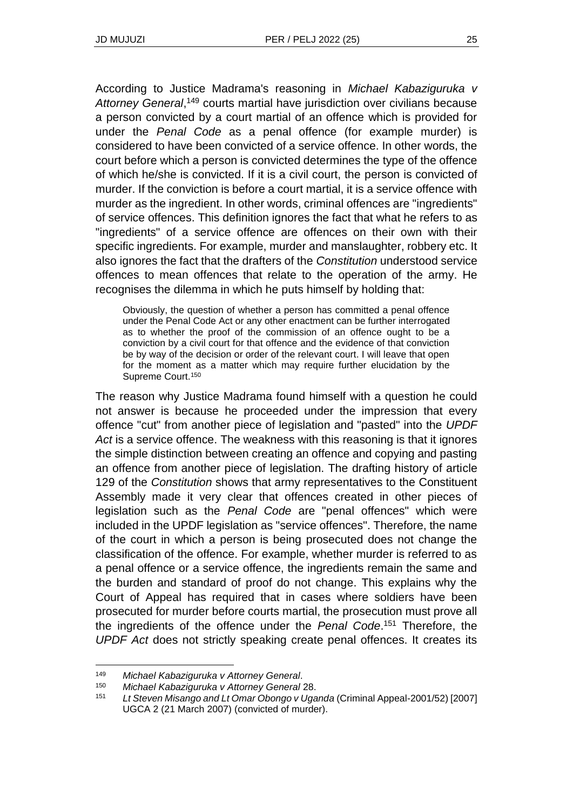According to Justice Madrama's reasoning in *Michael Kabaziguruka v*  Attorney General,<sup>149</sup> courts martial have jurisdiction over civilians because a person convicted by a court martial of an offence which is provided for under the *Penal Code* as a penal offence (for example murder) is considered to have been convicted of a service offence. In other words, the court before which a person is convicted determines the type of the offence of which he/she is convicted. If it is a civil court, the person is convicted of murder. If the conviction is before a court martial, it is a service offence with murder as the ingredient. In other words, criminal offences are "ingredients" of service offences. This definition ignores the fact that what he refers to as "ingredients" of a service offence are offences on their own with their specific ingredients. For example, murder and manslaughter, robbery etc. It also ignores the fact that the drafters of the *Constitution* understood service offences to mean offences that relate to the operation of the army. He recognises the dilemma in which he puts himself by holding that:

Obviously, the question of whether a person has committed a penal offence under the Penal Code Act or any other enactment can be further interrogated as to whether the proof of the commission of an offence ought to be a conviction by a civil court for that offence and the evidence of that conviction be by way of the decision or order of the relevant court. I will leave that open for the moment as a matter which may require further elucidation by the Supreme Court.<sup>150</sup>

The reason why Justice Madrama found himself with a question he could not answer is because he proceeded under the impression that every offence "cut" from another piece of legislation and "pasted" into the *UPDF Act* is a service offence. The weakness with this reasoning is that it ignores the simple distinction between creating an offence and copying and pasting an offence from another piece of legislation. The drafting history of article 129 of the *Constitution* shows that army representatives to the Constituent Assembly made it very clear that offences created in other pieces of legislation such as the *Penal Code* are "penal offences" which were included in the UPDF legislation as "service offences". Therefore, the name of the court in which a person is being prosecuted does not change the classification of the offence. For example, whether murder is referred to as a penal offence or a service offence, the ingredients remain the same and the burden and standard of proof do not change. This explains why the Court of Appeal has required that in cases where soldiers have been prosecuted for murder before courts martial, the prosecution must prove all the ingredients of the offence under the *Penal Code*. <sup>151</sup> Therefore, the *UPDF Act* does not strictly speaking create penal offences. It creates its

<sup>149</sup> *Michael Kabaziguruka v Attorney General*.

<sup>150</sup> *Michael Kabaziguruka v Attorney General* 28.

<sup>151</sup> *Lt Steven Misango and Lt Omar Obongo v Uganda* (Criminal Appeal-2001/52) [2007] UGCA 2 (21 March 2007) (convicted of murder).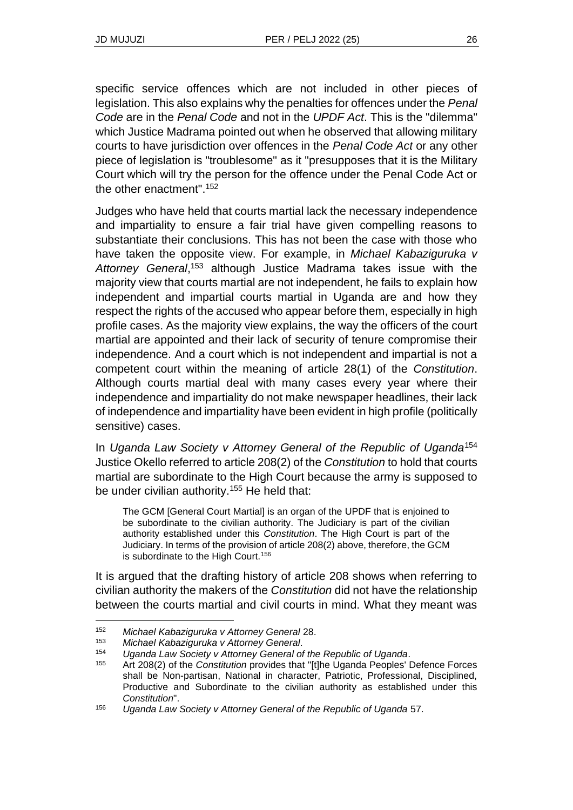specific service offences which are not included in other pieces of legislation. This also explains why the penalties for offences under the *Penal Code* are in the *Penal Code* and not in the *UPDF Act*. This is the "dilemma" which Justice Madrama pointed out when he observed that allowing military courts to have jurisdiction over offences in the *Penal Code Act* or any other piece of legislation is "troublesome" as it "presupposes that it is the Military Court which will try the person for the offence under the Penal Code Act or the other enactment".<sup>152</sup>

Judges who have held that courts martial lack the necessary independence and impartiality to ensure a fair trial have given compelling reasons to substantiate their conclusions. This has not been the case with those who have taken the opposite view. For example, in *Michael Kabaziguruka v*  Attorney General,<sup>153</sup> although Justice Madrama takes issue with the majority view that courts martial are not independent, he fails to explain how independent and impartial courts martial in Uganda are and how they respect the rights of the accused who appear before them, especially in high profile cases. As the majority view explains, the way the officers of the court martial are appointed and their lack of security of tenure compromise their independence. And a court which is not independent and impartial is not a competent court within the meaning of article 28(1) of the *Constitution*. Although courts martial deal with many cases every year where their independence and impartiality do not make newspaper headlines, their lack of independence and impartiality have been evident in high profile (politically sensitive) cases.

In *Uganda Law Society v Attorney General of the Republic of Uganda*<sup>154</sup> Justice Okello referred to article 208(2) of the *Constitution* to hold that courts martial are subordinate to the High Court because the army is supposed to be under civilian authority.<sup>155</sup> He held that:

The GCM [General Court Martial] is an organ of the UPDF that is enjoined to be subordinate to the civilian authority. The Judiciary is part of the civilian authority established under this *Constitution*. The High Court is part of the Judiciary. In terms of the provision of article 208(2) above, therefore, the GCM is subordinate to the High Court.<sup>156</sup>

It is argued that the drafting history of article 208 shows when referring to civilian authority the makers of the *Constitution* did not have the relationship between the courts martial and civil courts in mind. What they meant was

<sup>152</sup> *Michael Kabaziguruka v Attorney General* 28.

<sup>153</sup> *Michael Kabaziguruka v Attorney General*.

<sup>154</sup> *Uganda Law Society v Attorney General of the Republic of Uganda*.

<sup>155</sup> Art 208(2) of the *Constitution* provides that "[t]he Uganda Peoples' Defence Forces shall be Non-partisan, National in character, Patriotic, Professional, Disciplined, Productive and Subordinate to the civilian authority as established under this *Constitution*".

<sup>156</sup> *Uganda Law Society v Attorney General of the Republic of Uganda* 57.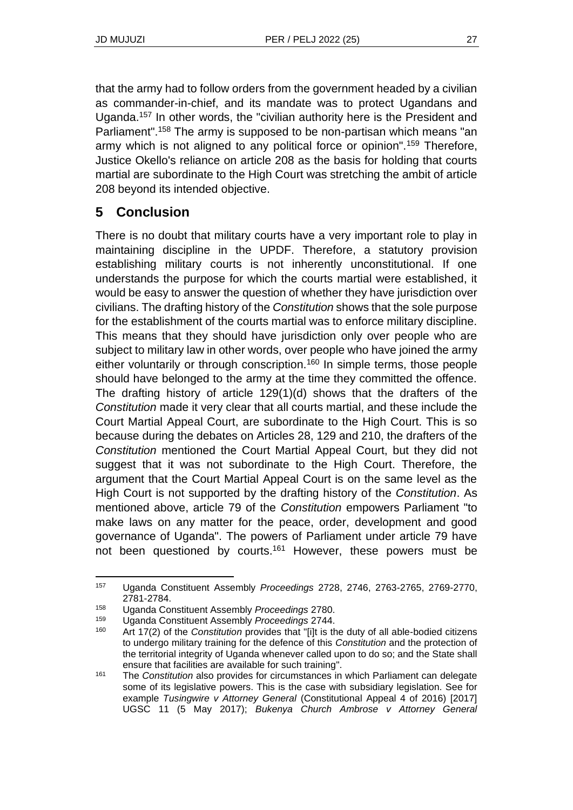that the army had to follow orders from the government headed by a civilian as commander-in-chief, and its mandate was to protect Ugandans and Uganda.<sup>157</sup> In other words, the "civilian authority here is the President and Parliament".<sup>158</sup> The army is supposed to be non-partisan which means "an army which is not aligned to any political force or opinion".<sup>159</sup> Therefore, Justice Okello's reliance on article 208 as the basis for holding that courts martial are subordinate to the High Court was stretching the ambit of article 208 beyond its intended objective.

# **5 Conclusion**

There is no doubt that military courts have a very important role to play in maintaining discipline in the UPDF. Therefore, a statutory provision establishing military courts is not inherently unconstitutional. If one understands the purpose for which the courts martial were established, it would be easy to answer the question of whether they have jurisdiction over civilians. The drafting history of the *Constitution* shows that the sole purpose for the establishment of the courts martial was to enforce military discipline. This means that they should have jurisdiction only over people who are subject to military law in other words, over people who have joined the army either voluntarily or through conscription.<sup>160</sup> In simple terms, those people should have belonged to the army at the time they committed the offence. The drafting history of article 129(1)(d) shows that the drafters of the *Constitution* made it very clear that all courts martial, and these include the Court Martial Appeal Court, are subordinate to the High Court. This is so because during the debates on Articles 28, 129 and 210, the drafters of the *Constitution* mentioned the Court Martial Appeal Court, but they did not suggest that it was not subordinate to the High Court. Therefore, the argument that the Court Martial Appeal Court is on the same level as the High Court is not supported by the drafting history of the *Constitution*. As mentioned above, article 79 of the *Constitution* empowers Parliament "to make laws on any matter for the peace, order, development and good governance of Uganda". The powers of Parliament under article 79 have not been questioned by courts.<sup>161</sup> However, these powers must be

<sup>157</sup> Uganda Constituent Assembly *Proceedings* 2728, 2746, 2763-2765, 2769-2770, 2781-2784.

<sup>158</sup> Uganda Constituent Assembly *Proceedings* 2780.

<sup>159</sup> Uganda Constituent Assembly *Proceedings* 2744.

<sup>160</sup> Art 17(2) of the *Constitution* provides that "[i]t is the duty of all able-bodied citizens to undergo military training for the defence of this *Constitution* and the protection of the territorial integrity of Uganda whenever called upon to do so; and the State shall ensure that facilities are available for such training".

<sup>161</sup> The *Constitution* also provides for circumstances in which Parliament can delegate some of its legislative powers. This is the case with subsidiary legislation. See for example *Tusingwire v Attorney General* (Constitutional Appeal 4 of 2016) [2017] UGSC 11 (5 May 2017); *Bukenya Church Ambrose v Attorney General*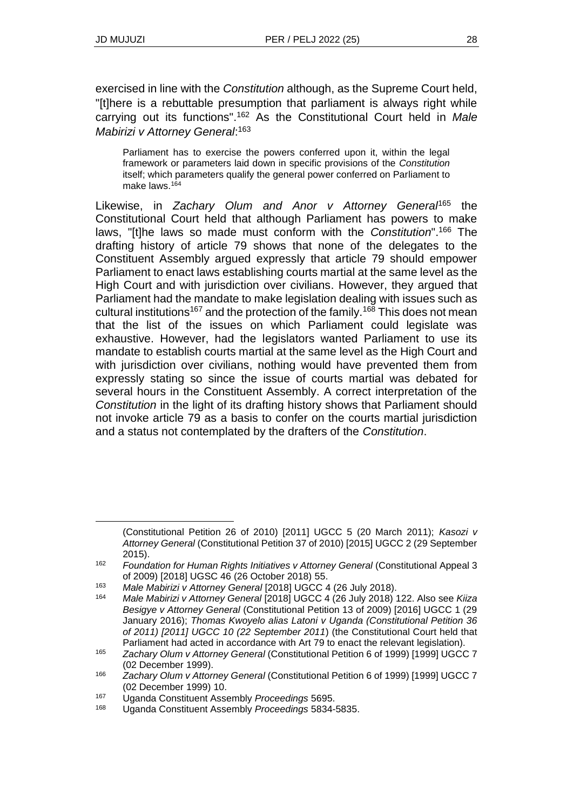exercised in line with the *Constitution* although, as the Supreme Court held, "[t]here is a rebuttable presumption that parliament is always right while carrying out its functions".<sup>162</sup> As the Constitutional Court held in *Male Mabirizi v Attorney General*: 163

Parliament has to exercise the powers conferred upon it, within the legal framework or parameters laid down in specific provisions of the *Constitution* itself; which parameters qualify the general power conferred on Parliament to make laws.<sup>164</sup>

Likewise, in *Zachary Olum and Anor v Attorney General*<sup>165</sup> the Constitutional Court held that although Parliament has powers to make laws, "[t]he laws so made must conform with the *Constitution*".<sup>166</sup> The drafting history of article 79 shows that none of the delegates to the Constituent Assembly argued expressly that article 79 should empower Parliament to enact laws establishing courts martial at the same level as the High Court and with jurisdiction over civilians. However, they argued that Parliament had the mandate to make legislation dealing with issues such as cultural institutions<sup>167</sup> and the protection of the family.<sup>168</sup> This does not mean that the list of the issues on which Parliament could legislate was exhaustive. However, had the legislators wanted Parliament to use its mandate to establish courts martial at the same level as the High Court and with jurisdiction over civilians, nothing would have prevented them from expressly stating so since the issue of courts martial was debated for several hours in the Constituent Assembly. A correct interpretation of the *Constitution* in the light of its drafting history shows that Parliament should not invoke article 79 as a basis to confer on the courts martial jurisdiction and a status not contemplated by the drafters of the *Constitution*.

<sup>(</sup>Constitutional Petition 26 of 2010) [2011] UGCC 5 (20 March 2011); *Kasozi v Attorney General* (Constitutional Petition 37 of 2010) [2015] UGCC 2 (29 September 2015).

<sup>&</sup>lt;sup>162</sup> *Foundation for Human Rights Initiatives v Attorney General (Constitutional Appeal 3* of 2009) [2018] UGSC 46 (26 October 2018) 55.

<sup>163</sup> *Male Mabirizi v Attorney General* [2018] UGCC 4 (26 July 2018).

<sup>164</sup> *Male Mabirizi v Attorney General* [2018] UGCC 4 (26 July 2018) 122. Also see *Kiiza Besigye v Attorney General* (Constitutional Petition 13 of 2009) [2016] UGCC 1 (29 January 2016); *Thomas Kwoyelo alias Latoni v Uganda (Constitutional Petition 36 of 2011) [2011] UGCC 10 (22 September 2011*) (the Constitutional Court held that Parliament had acted in accordance with Art 79 to enact the relevant legislation).

<sup>165</sup> *Zachary Olum v Attorney General* (Constitutional Petition 6 of 1999) [1999] UGCC 7 (02 December 1999).

<sup>166</sup> *Zachary Olum v Attorney General* (Constitutional Petition 6 of 1999) [1999] UGCC 7 (02 December 1999) 10.

<sup>167</sup> Uganda Constituent Assembly *Proceedings* 5695.

<sup>168</sup> Uganda Constituent Assembly *Proceedings* 5834-5835.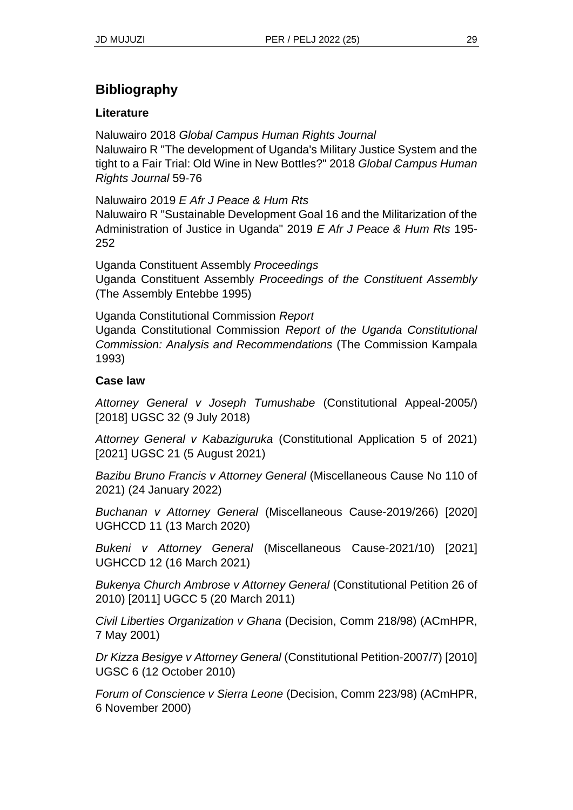# **Bibliography**

### **Literature**

Naluwairo 2018 *Global Campus Human Rights Journal* Naluwairo R "The development of Uganda's Military Justice System and the tight to a Fair Trial: Old Wine in New Bottles?" 2018 *Global Campus Human Rights Journal* 59-76

Naluwairo 2019 *E Afr J Peace & Hum Rts* Naluwairo R "Sustainable Development Goal 16 and the Militarization of the

Administration of Justice in Uganda" 2019 *E Afr J Peace & Hum Rts* 195- 252

Uganda Constituent Assembly *Proceedings* Uganda Constituent Assembly *Proceedings of the Constituent Assembly* (The Assembly Entebbe 1995)

Uganda Constitutional Commission *Report* Uganda Constitutional Commission *Report of the Uganda Constitutional Commission: Analysis and Recommendations* (The Commission Kampala 1993)

### **Case law**

*Attorney General v Joseph Tumushabe* (Constitutional Appeal-2005/) [2018] UGSC 32 (9 July 2018)

*Attorney General v Kabaziguruka* (Constitutional Application 5 of 2021) [2021] UGSC 21 (5 August 2021)

*Bazibu Bruno Francis v Attorney General* (Miscellaneous Cause No 110 of 2021) (24 January 2022)

*Buchanan v Attorney General* (Miscellaneous Cause-2019/266) [2020] UGHCCD 11 (13 March 2020)

*Bukeni v Attorney General* (Miscellaneous Cause-2021/10) [2021] UGHCCD 12 (16 March 2021)

*Bukenya Church Ambrose v Attorney General* (Constitutional Petition 26 of 2010) [2011] UGCC 5 (20 March 2011)

*Civil Liberties Organization v Ghana* (Decision, Comm 218/98) (ACmHPR, 7 May 2001)

*Dr Kizza Besigye v Attorney General* (Constitutional Petition-2007/7) [2010] UGSC 6 (12 October 2010)

*Forum of Conscience v Sierra Leone* (Decision, Comm 223/98) (ACmHPR, 6 November 2000)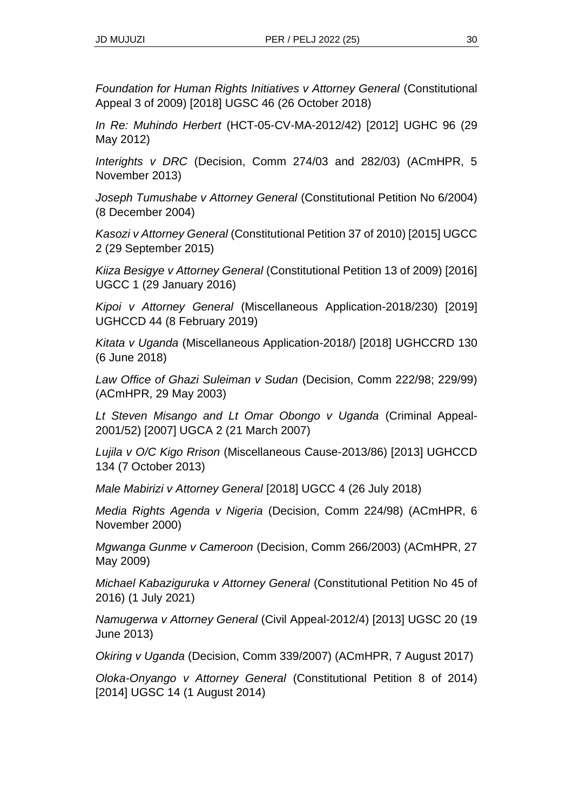*Foundation for Human Rights Initiatives v Attorney General* (Constitutional Appeal 3 of 2009) [2018] UGSC 46 (26 October 2018)

*In Re: Muhindo Herbert* (HCT-05-CV-MA-2012/42) [2012] UGHC 96 (29 May 2012)

*Interights v DRC* (Decision, Comm 274/03 and 282/03) (ACmHPR, 5 November 2013)

*Joseph Tumushabe v Attorney General* (Constitutional Petition No 6/2004) (8 December 2004)

*Kasozi v Attorney General* (Constitutional Petition 37 of 2010) [2015] UGCC 2 (29 September 2015)

*Kiiza Besigye v Attorney General* (Constitutional Petition 13 of 2009) [2016] UGCC 1 (29 January 2016)

*Kipoi v Attorney General* (Miscellaneous Application-2018/230) [2019] UGHCCD 44 (8 February 2019)

*Kitata v Uganda* (Miscellaneous Application-2018/) [2018] UGHCCRD 130 (6 June 2018)

*Law Office of Ghazi Suleiman v Sudan* (Decision, Comm 222/98; 229/99) (ACmHPR, 29 May 2003)

*Lt Steven Misango and Lt Omar Obongo v Uganda* (Criminal Appeal-2001/52) [2007] UGCA 2 (21 March 2007)

*Lujila v O/C Kigo Rrison* (Miscellaneous Cause-2013/86) [2013] UGHCCD 134 (7 October 2013)

*Male Mabirizi v Attorney General* [2018] UGCC 4 (26 July 2018)

*Media Rights Agenda v Nigeria* (Decision, Comm 224/98) (ACmHPR, 6 November 2000)

*Mgwanga Gunme v Cameroon* (Decision, Comm 266/2003) (ACmHPR, 27 May 2009)

*Michael Kabaziguruka v Attorney General* (Constitutional Petition No 45 of 2016) (1 July 2021)

*Namugerwa v Attorney General* (Civil Appeal-2012/4) [2013] UGSC 20 (19 June 2013)

*Okiring v Uganda* (Decision, Comm 339/2007) (ACmHPR, 7 August 2017)

*Oloka-Onyango v Attorney General* (Constitutional Petition 8 of 2014) [2014] UGSC 14 (1 August 2014)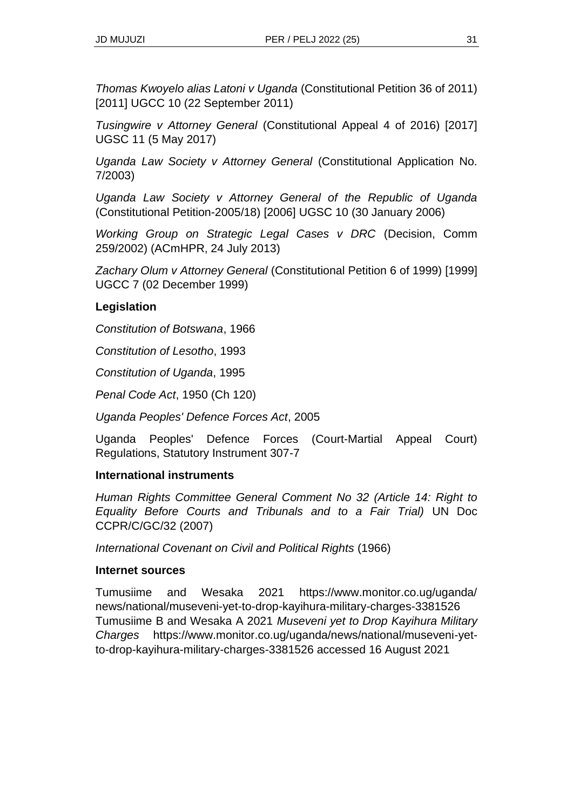*Thomas Kwoyelo alias Latoni v Uganda* (Constitutional Petition 36 of 2011) [2011] UGCC 10 (22 September 2011)

*Tusingwire v Attorney General* (Constitutional Appeal 4 of 2016) [2017] UGSC 11 (5 May 2017)

*Uganda Law Society v Attorney General* (Constitutional Application No. 7/2003)

*Uganda Law Society v Attorney General of the Republic of Uganda*  (Constitutional Petition-2005/18) [2006] UGSC 10 (30 January 2006)

*Working Group on Strategic Legal Cases v DRC* (Decision, Comm 259/2002) (ACmHPR, 24 July 2013)

*Zachary Olum v Attorney General* (Constitutional Petition 6 of 1999) [1999] UGCC 7 (02 December 1999)

#### **Legislation**

*Constitution of Botswana*, 1966

*Constitution of Lesotho*, 1993

*Constitution of Uganda*, 1995

*Penal Code Act*, 1950 (Ch 120)

*Uganda Peoples' Defence Forces Act*, 2005

Uganda Peoples' Defence Forces (Court-Martial Appeal Court) Regulations, Statutory Instrument 307-7

#### **International instruments**

*Human Rights Committee General Comment No 32 (Article 14: Right to Equality Before Courts and Tribunals and to a Fair Trial)* UN Doc CCPR/C/GC/32 (2007)

*International Covenant on Civil and Political Rights* (1966)

#### **Internet sources**

Tumusiime and Wesaka 2021 https://www.monitor.co.ug/uganda/ news/national/museveni-yet-to-drop-kayihura-military-charges-3381526 Tumusiime B and Wesaka A 2021 *Museveni yet to Drop Kayihura Military Charges* https://www.monitor.co.ug/uganda/news/national/museveni-yetto-drop-kayihura-military-charges-3381526 accessed 16 August 2021